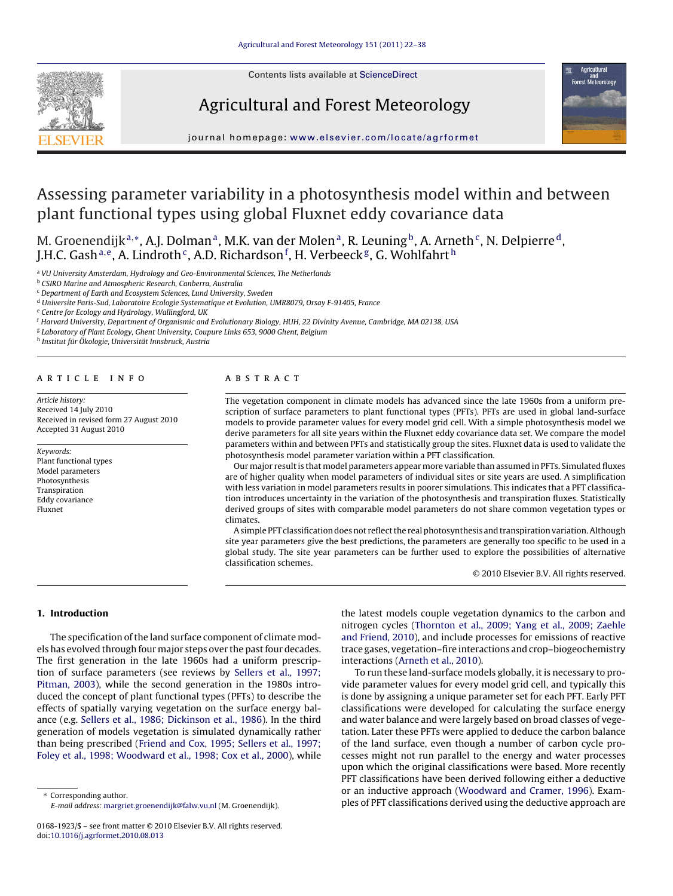

Contents lists available at [ScienceDirect](http://www.sciencedirect.com/science/journal/01681923)

# Agricultural and Forest Meteorology



journal homepage: [www.elsevier.com/locate/agrformet](http://www.elsevier.com/locate/agrformet)

# Assessing parameter variability in a photosynthesis model within and between plant functional types using global Fluxnet eddy covariance data

M. Groenendijk<sup>a,\*</sup>, A.J. Dolman<sup>a</sup>, M.K. van der Molen<sup>a</sup>, R. Leuning<sup>b</sup>, A. Arneth<sup>c</sup>, N. Delpierre<sup>d</sup>, J.H.C. Gash $^{\rm a,e}$ , A. Lindroth $^{\rm c}$ , A.D. Richardson $^{\rm f}$ , H. Verbeeck $^{\rm g}$ , G. Wohlfahrt $^{\rm h}$ 

<sup>a</sup> VU University Amsterdam, Hydrology and Geo-Environmental Sciences, The Netherlands

**b CSIRO Marine and Atmospheric Research, Canberra, Australia** 

<sup>c</sup> Department of Earth and Ecosystem Sciences, Lund University, Sweden

<sup>d</sup> Universite Paris-Sud, Laboratoire Ecologie Systematique et Evolution, UMR8079, Orsay F-91405, France

<sup>e</sup> Centre for Ecology and Hydrology, Wallingford, UK

<sup>f</sup> Harvard University, Department of Organismic and Evolutionary Biology, HUH, 22 Divinity Avenue, Cambridge, MA 02138, USA

<sup>g</sup> Laboratory of Plant Ecology, Ghent University, Coupure Links 653, 9000 Ghent, Belgium

<sup>h</sup> Institut für Ökologie, Universität Innsbruck, Austria

#### article info

Article history: Received 14 July 2010 Received in revised form 27 August 2010 Accepted 31 August 2010

#### Keywords: Plant functional types Model parameters Photosynthesis Transpiration Eddy covariance Fluxnet

## **ABSTRACT**

The vegetation component in climate models has advanced since the late 1960s from a uniform prescription of surface parameters to plant functional types (PFTs). PFTs are used in global land-surface models to provide parameter values for every model grid cell. With a simple photosynthesis model we derive parameters for all site years within the Fluxnet eddy covariance data set. We compare the model parameters within and between PFTs and statistically group the sites. Fluxnet data is used to validate the photosynthesis model parameter variation within a PFT classification.

Our major result is that model parameters appear more variable than assumed in PFTs. Simulated fluxes are of higher quality when model parameters of individual sites or site years are used. A simplification with less variation in model parameters results in poorer simulations. This indicates that a PFT classification introduces uncertainty in the variation of the photosynthesis and transpiration fluxes. Statistically derived groups of sites with comparable model parameters do not share common vegetation types or climates.

A simple PFT classification does not reflect the real photosynthesis and transpiration variation. Although site year parameters give the best predictions, the parameters are generally too specific to be used in a global study. The site year parameters can be further used to explore the possibilities of alternative classification schemes.

© 2010 Elsevier B.V. All rights reserved.

# **1. Introduction**

The specification of the land surface component of climate models has evolved through four major steps over the past four decades. The first generation in the late 1960s had a uniform prescription of surface parameters (see reviews by [Sellers et al., 1997;](#page-15-0) [Pitman, 2003\),](#page-15-0) while the second generation in the 1980s introduced the concept of plant functional types (PFTs) to describe the effects of spatially varying vegetation on the surface energy balance (e.g. [Sellers et al., 1986; Dickinson et al., 1986\).](#page-15-0) In the third generation of models vegetation is simulated dynamically rather than being prescribed ([Friend and Cox, 1995; Sellers et al., 1997;](#page-14-0) [Foley et al., 1998; Woodward et al., 1998; Cox et al., 2000\),](#page-14-0) while

∗ Corresponding author. E-mail address: [margriet.groenendijk@falw.vu.nl](mailto:margriet.groenendijk@falw.vu.nl) (M. Groenendijk). the latest models couple vegetation dynamics to the carbon and nitrogen cycles [\(Thornton et al., 2009; Yang et al., 2009; Zaehle](#page-16-0) [and Friend, 2010\),](#page-16-0) and include processes for emissions of reactive trace gases, vegetation–fire interactions and crop–biogeochemistry interactions ([Arneth et al., 2010\).](#page-13-0)

To run these land-surface models globally, it is necessary to provide parameter values for every model grid cell, and typically this is done by assigning a unique parameter set for each PFT. Early PFT classifications were developed for calculating the surface energy and water balance and were largely based on broad classes of vegetation. Later these PFTs were applied to deduce the carbon balance of the land surface, even though a number of carbon cycle processes might not run parallel to the energy and water processes upon which the original classifications were based. More recently PFT classifications have been derived following either a deductive or an inductive approach [\(Woodward and Cramer, 1996\).](#page-16-0) Examples of PFT classifications derived using the deductive approach are

<sup>0168-1923/\$ –</sup> see front matter © 2010 Elsevier B.V. All rights reserved. doi:[10.1016/j.agrformet.2010.08.013](dx.doi.org/10.1016/j.agrformet.2010.08.013)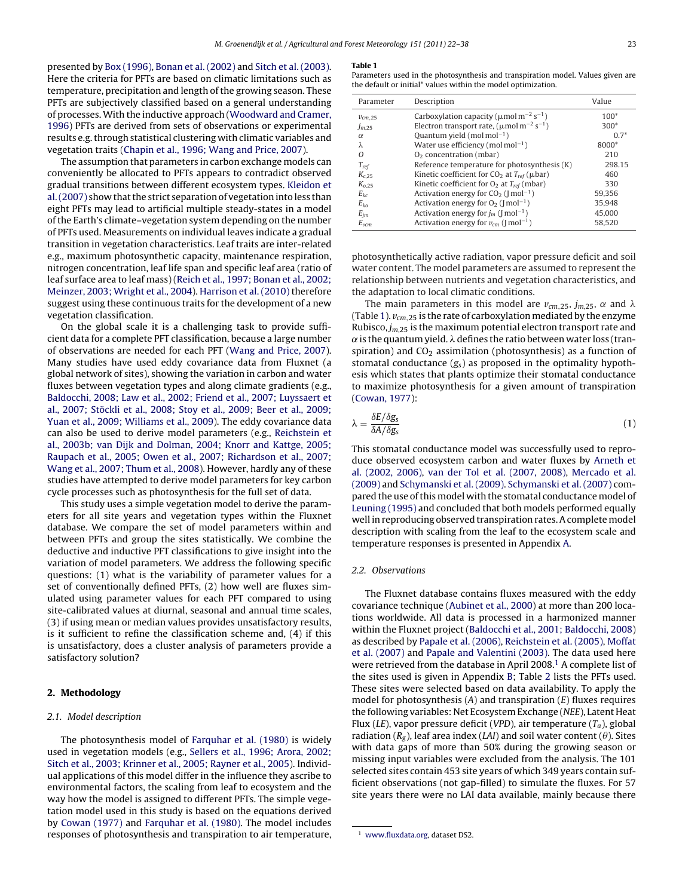<span id="page-1-0"></span>presented by [Box \(1996\),](#page-13-0) [Bonan et al. \(2002\)](#page-13-0) and [Sitch et al. \(2003\).](#page-15-0) Here the criteria for PFTs are based on climatic limitations such as temperature, precipitation and length of the growing season. These PFTs are subjectively classified based on a general understanding of processes. With the inductive approach [\(Woodward and Cramer,](#page-16-0) [1996\)](#page-16-0) PFTs are derived from sets of observations or experimental results e.g. through statistical clustering with climatic variables and vegetation traits ([Chapin et al., 1996; Wang and Price, 2007\).](#page-13-0)

The assumption that parameters in carbon exchange models can conveniently be allocated to PFTs appears to contradict observed gradual transitions between different ecosystem types. [Kleidon et](#page-14-0) [al. \(2007\)](#page-14-0) show that the strict separation of vegetation into less than eight PFTs may lead to artificial multiple steady-states in a model of the Earth's climate–vegetation system depending on the number of PFTs used. Measurements on individual leaves indicate a gradual transition in vegetation characteristics. Leaf traits are inter-related e.g., maximum photosynthetic capacity, maintenance respiration, nitrogen concentration, leaf life span and specific leaf area (ratio of leaf surface area to leaf mass) ([Reich et al., 1997; Bonan et al., 2002;](#page-15-0) [Meinzer, 2003; Wright et al., 2004\).](#page-15-0) [Harrison et al. \(2010\)](#page-14-0) therefore suggest using these continuous traits for the development of a new vegetation classification.

On the global scale it is a challenging task to provide sufficient data for a complete PFT classification, because a large number of observations are needed for each PFT [\(Wang and Price, 2007\).](#page-16-0) Many studies have used eddy covariance data from Fluxnet (a global network of sites), showing the variation in carbon and water fluxes between vegetation types and along climate gradients (e.g., [Baldocchi, 2008; Law et al., 2002; Friend et al., 2007; Luyssaert et](#page-13-0) [al., 2007; Stöckli et al., 2008; Stoy et al., 2009; Beer et al., 2009;](#page-13-0) [Yuan et al., 2009; Williams et al., 2009\).](#page-13-0) The eddy covariance data can also be used to derive model parameters (e.g., [Reichstein et](#page-15-0) [al., 2003b; van Dijk and Dolman, 2004; Knorr and Kattge, 2005;](#page-15-0) [Raupach et al., 2005; Owen et al., 2007; Richardson et al., 2007;](#page-15-0) [Wang et al., 2007; Thum et al., 2008\).](#page-15-0) However, hardly any of these studies have attempted to derive model parameters for key carbon cycle processes such as photosynthesis for the full set of data.

This study uses a simple vegetation model to derive the parameters for all site years and vegetation types within the Fluxnet database. We compare the set of model parameters within and between PFTs and group the sites statistically. We combine the deductive and inductive PFT classifications to give insight into the variation of model parameters. We address the following specific questions: (1) what is the variability of parameter values for a set of conventionally defined PFTs, (2) how well are fluxes simulated using parameter values for each PFT compared to using site-calibrated values at diurnal, seasonal and annual time scales, (3) if using mean or median values provides unsatisfactory results, is it sufficient to refine the classification scheme and, (4) if this is unsatisfactory, does a cluster analysis of parameters provide a satisfactory solution?

## **2. Methodology**

#### 2.1. Model description

The photosynthesis model of [Farquhar et al. \(1980\)](#page-14-0) is widely used in vegetation models (e.g., [Sellers et al., 1996; Arora, 2002;](#page-15-0) [Sitch et al., 2003; Krinner et al., 2005; Rayner et al., 2005\).](#page-15-0) Individual applications of this model differ in the influence they ascribe to environmental factors, the scaling from leaf to ecosystem and the way how the model is assigned to different PFTs. The simple vegetation model used in this study is based on the equations derived by [Cowan \(1977\)](#page-14-0) and [Farquhar et al. \(1980\). T](#page-14-0)he model includes responses of photosynthesis and transpiration to air temperature,

#### **Table 1**

Parameters used in the photosynthesis and transpiration model. Values given are the default or initial\* values within the model optimization.

| Parameter      | Description                                                            | Value  |
|----------------|------------------------------------------------------------------------|--------|
| $v_{cm,25}$    | Carboxylation capacity ( $\mu$ mol m <sup>-2</sup> s <sup>-1</sup> )   | $100*$ |
| $\dot{I}$ m.25 | Electron transport rate, ( $\mu$ mol m <sup>-2</sup> s <sup>-1</sup> ) | $300*$ |
| $\alpha$       | Quantum yield (mol mol <sup>-1</sup> )                                 | $0.7*$ |
| λ              | Water use efficiency (mol mol <sup>-1</sup> )                          | 8000*  |
| $\Omega$       | $O2$ concentration (mbar)                                              | 210    |
| $T_{ref}$      | Reference temperature for photosynthesis (K)                           | 298.15 |
| $K_{c,25}$     | Kinetic coefficient for $CO2$ at $Tref$ ( $\mu$ bar)                   | 460    |
| $K_{0.25}$     | Kinetic coefficient for $O_2$ at $T_{ref}$ (mbar)                      | 330    |
| $E_{kc}$       | Activation energy for $CO2$ (1 mol <sup>-1</sup> )                     | 59,356 |
| $E_{ko}$       | Activation energy for $O_2$ (1 mol <sup>-1</sup> )                     | 35,948 |
| $E_{jm}$       | Activation energy for $j_m$ (1 mol <sup>-1</sup> )                     | 45.000 |
| $E_{vcm}$      | Activation energy for $v_{cm}$ (J mol <sup>-1</sup> )                  | 58.520 |

photosynthetically active radiation, vapor pressure deficit and soil water content. The model parameters are assumed to represent the relationship between nutrients and vegetation characteristics, and the adaptation to local climatic conditions.

The main parameters in this model are  $v_{cm,25}$ ,  $j_{m,25}$ ,  $\alpha$  and  $\lambda$ (Table 1).  $v_{cm,25}$  is the rate of carboxylation mediated by the enzyme Rubisco,  $j_{m,25}$  is the maximum potential electron transport rate and  $\alpha$  is the quantum yield.  $\lambda$  defines the ratio between water loss (transpiration) and  $CO<sub>2</sub>$  assimilation (photosynthesis) as a function of stomatal conductance  $(g_s)$  as proposed in the optimality hypothesis which states that plants optimize their stomatal conductance to maximize photosynthesis for a given amount of transpiration [\(Cowan, 1977\):](#page-14-0)

$$
\lambda = \frac{\delta E/\delta g_s}{\delta A/\delta g_s} \tag{1}
$$

This stomatal conductance model was successfully used to reproduce observed ecosystem carbon and water fluxes by [Arneth et](#page-13-0) [al. \(2002, 2006\),](#page-13-0) [van der Tol et al. \(2007, 2008\),](#page-16-0) [Mercado et al.](#page-15-0) [\(2009\)](#page-15-0) and [Schymanski et al. \(2009\).](#page-15-0) [Schymanski et al. \(2007\)](#page-15-0) compared the use of this model with the stomatal conductance model of [Leuning \(1995\)](#page-14-0) and concluded that both models performed equally well in reproducing observed transpiration rates. A complete model description with scaling from the leaf to the ecosystem scale and temperature responses is presented in Appendix [A.](#page-11-0)

# 2.2. Observations

The Fluxnet database contains fluxes measured with the eddy covariance technique ([Aubinet et al., 2000\)](#page-13-0) at more than 200 locations worldwide. All data is processed in a harmonized manner within the Fluxnet project [\(Baldocchi et al., 2001; Baldocchi, 2008\)](#page-13-0) as described by [Papale et al. \(2006\),](#page-15-0) [Reichstein et al. \(2005\),](#page-15-0) [Moffat](#page-15-0) [et al. \(2007\)](#page-15-0) and [Papale and Valentini \(2003\). T](#page-15-0)he data used here were retrieved from the database in April 2008.<sup>1</sup> A complete list of the sites used is given in Appendix [B;](#page-12-0) Table [2](#page-2-0) lists the PFTs used. These sites were selected based on data availability. To apply the model for photosynthesis  $(A)$  and transpiration  $(E)$  fluxes requires the following variables: Net Ecosystem Exchange (NEE), Latent Heat Flux (*LE*), vapor pressure deficit (*VPD*), air temperature ( $T_a$ ), global radiation ( $R_g$ ), leaf area index (*LAI*) and soil water content ( $\theta$ ). Sites with data gaps of more than 50% during the growing season or missing input variables were excluded from the analysis. The 101 selected sites contain 453 site years of which 349 years contain sufficient observations (not gap-filled) to simulate the fluxes. For 57 site years there were no LAI data available, mainly because there

<sup>1</sup> [www.fluxdata.org,](http://www.fluxdata.org) dataset DS2.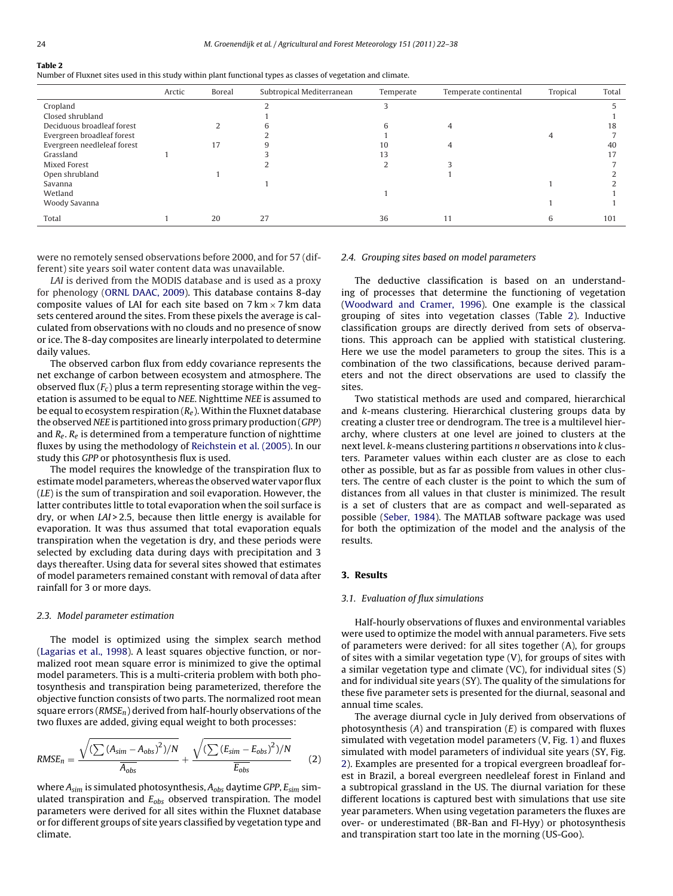<span id="page-2-0"></span>

| ×<br>L<br>٠ | Ι<br>n |  |  |
|-------------|--------|--|--|
|             |        |  |  |

Number of Fluxnet sites used in this study within plant functional types as classes of vegetation and climate.

|                             | Arctic | <b>Boreal</b> | Subtropical Mediterranean | Temperate | Temperate continental | Tropical | Total |
|-----------------------------|--------|---------------|---------------------------|-----------|-----------------------|----------|-------|
| Cropland                    |        |               |                           |           |                       |          |       |
| Closed shrubland            |        |               |                           |           |                       |          |       |
| Deciduous broadleaf forest  |        |               |                           |           |                       |          | 18    |
| Evergreen broadleaf forest  |        |               |                           |           |                       |          |       |
| Evergreen needleleaf forest |        | 17            |                           | 10        |                       |          | 40    |
| Grassland                   |        |               |                           | 13        |                       |          |       |
| Mixed Forest                |        |               |                           |           |                       |          |       |
| Open shrubland              |        |               |                           |           |                       |          |       |
| Savanna                     |        |               |                           |           |                       |          |       |
| Wetland                     |        |               |                           |           |                       |          |       |
| Woody Savanna               |        |               |                           |           |                       |          |       |
| Total                       |        | 20            | 27                        | 36        | 11                    | 6        | 101   |

were no remotely sensed observations before 2000, and for 57 (different) site years soil water content data was unavailable.

LAI is derived from the MODIS database and is used as a proxy for phenology ([ORNL DAAC, 2009\).](#page-15-0) This database contains 8-day composite values of LAI for each site based on  $7 \text{ km} \times 7 \text{ km}$  data sets centered around the sites. From these pixels the average is calculated from observations with no clouds and no presence of snow or ice. The 8-day composites are linearly interpolated to determine daily values.

The observed carbon flux from eddy covariance represents the net exchange of carbon between ecosystem and atmosphere. The observed flux  $(F_c)$  plus a term representing storage within the vegetation is assumed to be equal to NEE. Nighttime NEE is assumed to be equal to ecosystem respiration  $(R_e)$ . Within the Fluxnet database the observed NEE is partitioned into gross primary production (GPP) and  $R_e$ .  $R_e$  is determined from a temperature function of nighttime fluxes by using the methodology of [Reichstein et al. \(2005\). I](#page-15-0)n our study this GPP or photosynthesis flux is used.

The model requires the knowledge of the transpiration flux to estimate model parameters, whereas the observed water vapor flux (LE) is the sum of transpiration and soil evaporation. However, the latter contributes little to total evaporation when the soil surface is dry, or when  $LAI > 2.5$ , because then little energy is available for evaporation. It was thus assumed that total evaporation equals transpiration when the vegetation is dry, and these periods were selected by excluding data during days with precipitation and 3 days thereafter. Using data for several sites showed that estimates of model parameters remained constant with removal of data after rainfall for 3 or more days.

#### 2.3. Model parameter estimation

The model is optimized using the simplex search method ([Lagarias et al., 1998\).](#page-14-0) A least squares objective function, or normalized root mean square error is minimized to give the optimal model parameters. This is a multi-criteria problem with both photosynthesis and transpiration being parameterized, therefore the objective function consists of two parts. The normalized root mean square errors ( $RMSE_n$ ) derived from half-hourly observations of the two fluxes are added, giving equal weight to both processes:

$$
RMSE_n = \frac{\sqrt{\left(\sum (A_{sim} - A_{obs})^2\right)/N}}{\overline{A_{obs}}} + \frac{\sqrt{\left(\sum (E_{sim} - E_{obs})^2\right)/N}}{\overline{E_{obs}}}
$$
(2)

where  $A_{sim}$  is simulated photosynthesis,  $A_{obs}$  daytime GPP,  $E_{sim}$  simulated transpiration and  $E_{obs}$  observed transpiration. The model parameters were derived for all sites within the Fluxnet database or for different groups of site years classified by vegetation type and climate.

#### 2.4. Grouping sites based on model parameters

The deductive classification is based on an understanding of processes that determine the functioning of vegetation [\(Woodward and Cramer, 1996\).](#page-16-0) One example is the classical grouping of sites into vegetation classes (Table 2). Inductive classification groups are directly derived from sets of observations. This approach can be applied with statistical clustering. Here we use the model parameters to group the sites. This is a combination of the two classifications, because derived parameters and not the direct observations are used to classify the sites.

Two statistical methods are used and compared, hierarchical and k-means clustering. Hierarchical clustering groups data by creating a cluster tree or dendrogram. The tree is a multilevel hierarchy, where clusters at one level are joined to clusters at the next level. k-means clustering partitions n observations into k clusters. Parameter values within each cluster are as close to each other as possible, but as far as possible from values in other clusters. The centre of each cluster is the point to which the sum of distances from all values in that cluster is minimized. The result is a set of clusters that are as compact and well-separated as possible ([Seber, 1984\).](#page-15-0) The MATLAB software package was used for both the optimization of the model and the analysis of the results.

## **3. Results**

#### 3.1. Evaluation of flux simulations

Half-hourly observations of fluxes and environmental variables were used to optimize the model with annual parameters. Five sets of parameters were derived: for all sites together (A), for groups of sites with a similar vegetation type (V), for groups of sites with a similar vegetation type and climate (VC), for individual sites (S) and for individual site years (SY). The quality of the simulations for these five parameter sets is presented for the diurnal, seasonal and annual time scales.

The average diurnal cycle in July derived from observations of photosynthesis  $(A)$  and transpiration  $(E)$  is compared with fluxes simulated with vegetation model parameters (V, Fig. [1\)](#page-3-0) and fluxes simulated with model parameters of individual site years (SY, Fig. [2\).](#page-3-0) Examples are presented for a tropical evergreen broadleaf forest in Brazil, a boreal evergreen needleleaf forest in Finland and a subtropical grassland in the US. The diurnal variation for these different locations is captured best with simulations that use site year parameters. When using vegetation parameters the fluxes are over- or underestimated (BR-Ban and FI-Hyy) or photosynthesis and transpiration start too late in the morning (US-Goo).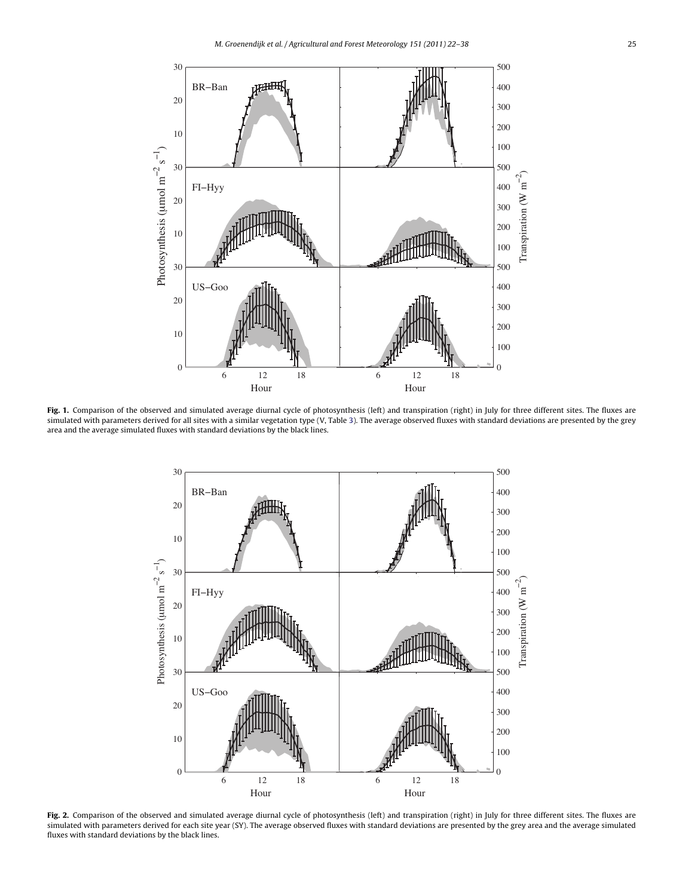<span id="page-3-0"></span>

Fig. 1. Comparison of the observed and simulated average diurnal cycle of photosynthesis (left) and transpiration (right) in July for three different sites. The fluxes are simulated with parameters derived for all sites with a similar vegetation type (V, Table [3\).](#page-5-0) The average observed fluxes with standard deviations are presented by the grey area and the average simulated fluxes with standard deviations by the black lines.



Fig. 2. Comparison of the observed and simulated average diurnal cycle of photosynthesis (left) and transpiration (right) in July for three different sites. The fluxes are simulated with parameters derived for each site year (SY). The average observed fluxes with standard deviations are presented by the grey area and the average simulated fluxes with standard deviations by the black lines.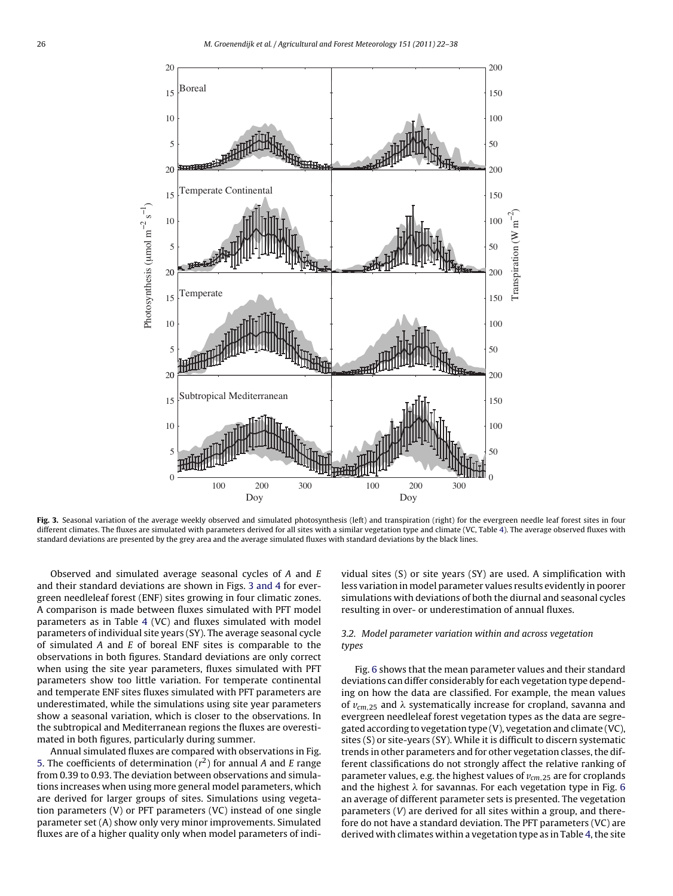

Fig. 3. Seasonal variation of the average weekly observed and simulated photosynthesis (left) and transpiration (right) for the evergreen needle leaf forest sites in four different climates. The fluxes are simulated with parameters derived for all sites with a similar vegetation type and climate (VC, Table [4\).](#page-8-0) The average observed fluxes with standard deviations are presented by the grey area and the average simulated fluxes with standard deviations by the black lines.

Observed and simulated average seasonal cycles of A and E and their standard deviations are shown in Figs. 3 and 4 for evergreen needleleaf forest (ENF) sites growing in four climatic zones. A comparison is made between fluxes simulated with PFT model parameters as in Table [4](#page-8-0) (VC) and fluxes simulated with model parameters of individual site years (SY). The average seasonal cycle of simulated A and E of boreal ENF sites is comparable to the observations in both figures. Standard deviations are only correct when using the site year parameters, fluxes simulated with PFT parameters show too little variation. For temperate continental and temperate ENF sites fluxes simulated with PFT parameters are underestimated, while the simulations using site year parameters show a seasonal variation, which is closer to the observations. In the subtropical and Mediterranean regions the fluxes are overestimated in both figures, particularly during summer.

Annual simulated fluxes are compared with observations in Fig. [5. T](#page-6-0)he coefficients of determination  $(r^2)$  for annual A and E range from 0.39 to 0.93. The deviation between observations and simulations increases when using more general model parameters, which are derived for larger groups of sites. Simulations using vegetation parameters (V) or PFT parameters (VC) instead of one single parameter set (A) show only very minor improvements. Simulated fluxes are of a higher quality only when model parameters of individual sites (S) or site years (SY) are used. A simplification with less variation in model parameter values results evidently in poorer simulations with deviations of both the diurnal and seasonal cycles resulting in over- or underestimation of annual fluxes.

# 3.2. Model parameter variation within and across vegetation types

Fig. [6](#page-7-0) shows that the mean parameter values and their standard deviations can differ considerably for each vegetation type depending on how the data are classified. For example, the mean values of  $v_{cm,25}$  and  $\lambda$  systematically increase for cropland, savanna and evergreen needleleaf forest vegetation types as the data are segregated according to vegetation type (V), vegetation and climate (VC), sites (S) or site-years (SY). While it is difficult to discern systematic trends in other parameters and for other vegetation classes, the different classifications do not strongly affect the relative ranking of parameter values, e.g. the highest values of  $v_{cm,25}$  are for croplands and the highest  $\lambda$  for savannas. For each vegetation type in Fig. [6](#page-7-0) an average of different parameter sets is presented. The vegetation parameters (V) are derived for all sites within a group, and therefore do not have a standard deviation. The PFT parameters (VC) are derived with climates within a vegetation type as in Table [4, t](#page-8-0)he site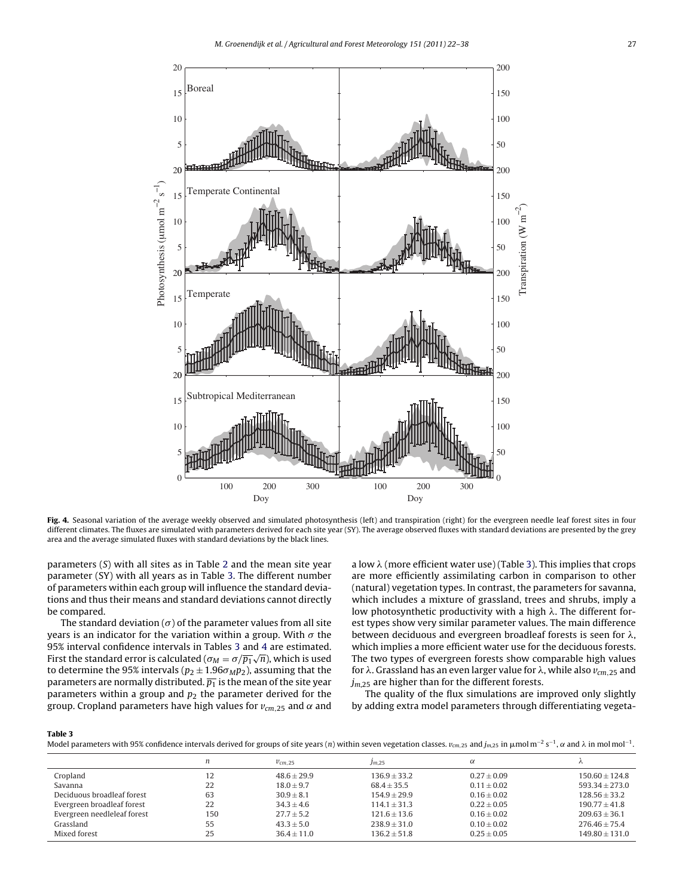<span id="page-5-0"></span>

Fig. 4. Seasonal variation of the average weekly observed and simulated photosynthesis (left) and transpiration (right) for the evergreen needle leaf forest sites in four different climates. The fluxes are simulated with parameters derived for each site year (SY). The average observed fluxes with standard deviations are presented by the grey area and the average simulated fluxes with standard deviations by the black lines.

parameters (S) with all sites as in Table [2](#page-2-0) and the mean site year parameter (SY) with all years as in Table 3. The different number of parameters within each group will influence the standard deviations and thus their means and standard deviations cannot directly be compared.

The standard deviation ( $\sigma$ ) of the parameter values from all site years is an indicator for the variation within a group. With  $\sigma$  the 95% interval confidence intervals in Tables 3 and [4](#page-8-0) are estimated. First the standard error is calculated ( $\sigma_M = \sigma / \overline{p_1} \sqrt{n}$ ), which is used to determine the 95% intervals ( $p_2 \pm 1.96\sigma_M p_2$ ), assuming that the parameters are normally distributed.  $\overline{p_1}$  is the mean of the site year parameters within a group and  $p_2$  the parameter derived for the group. Cropland parameters have high values for  $v_{cm,25}$  and  $\alpha$  and

a low  $\lambda$  (more efficient water use) (Table 3). This implies that crops are more efficiently assimilating carbon in comparison to other (natural) vegetation types. In contrast, the parameters for savanna, which includes a mixture of grassland, trees and shrubs, imply a low photosynthetic productivity with a high  $\lambda$ . The different forest types show very similar parameter values. The main difference between deciduous and evergreen broadleaf forests is seen for  $\lambda$ , which implies a more efficient water use for the deciduous forests. The two types of evergreen forests show comparable high values for  $\lambda$ . Grassland has an even larger value for  $\lambda$ , while also  $v_{cm,25}$  and  $j_{m,25}$  are higher than for the different forests.

The quality of the flux simulations are improved only slightly by adding extra model parameters through differentiating vegeta-

### **Table 3**

Model parameters with 95% confidence intervals derived for groups of site years (n) within seven vegetation classes.  $v_{cm,25}$  and  $j_{m,25}$  in  $\mu$ mol m<sup>-2</sup> s<sup>-1</sup>,  $\alpha$  and  $\lambda$  in mol mol<sup>-1</sup>.

|                             | n   | $v_{cm,25}$     | Jm.25            | $\alpha$        |                    |
|-----------------------------|-----|-----------------|------------------|-----------------|--------------------|
| Cropland                    | 12  | $48.6 + 29.9$   | $136.9 + 33.2$   | $0.27 \pm 0.09$ | $150.60 + 124.8$   |
| Savanna                     | 22  | $18.0 \pm 9.7$  | $68.4 \pm 35.5$  | $0.11 \pm 0.02$ | $593.34 \pm 273.0$ |
| Deciduous broadleaf forest  | 63  | $30.9 \pm 8.1$  | $154.9 + 29.9$   | $0.16 \pm 0.02$ | $128.56 + 33.2$    |
| Evergreen broadleaf forest  | 22  | $34.3 + 4.6$    | $114.1 + 31.3$   | $0.22 + 0.05$   | $190.77 + 41.8$    |
| Evergreen needleleaf forest | 150 | $27.7 + 5.2$    | $121.6 + 13.6$   | $0.16 + 0.02$   | $209.63 + 36.1$    |
| Grassland                   | 55  | $43.3 \pm 5.0$  | $238.9 \pm 31.0$ | $0.10 \pm 0.02$ | $276.46 + 75.4$    |
| Mixed forest                | 25  | $36.4 \pm 11.0$ | $136.2 \pm 51.8$ | $0.25 \pm 0.05$ | $149.80 \pm 131.0$ |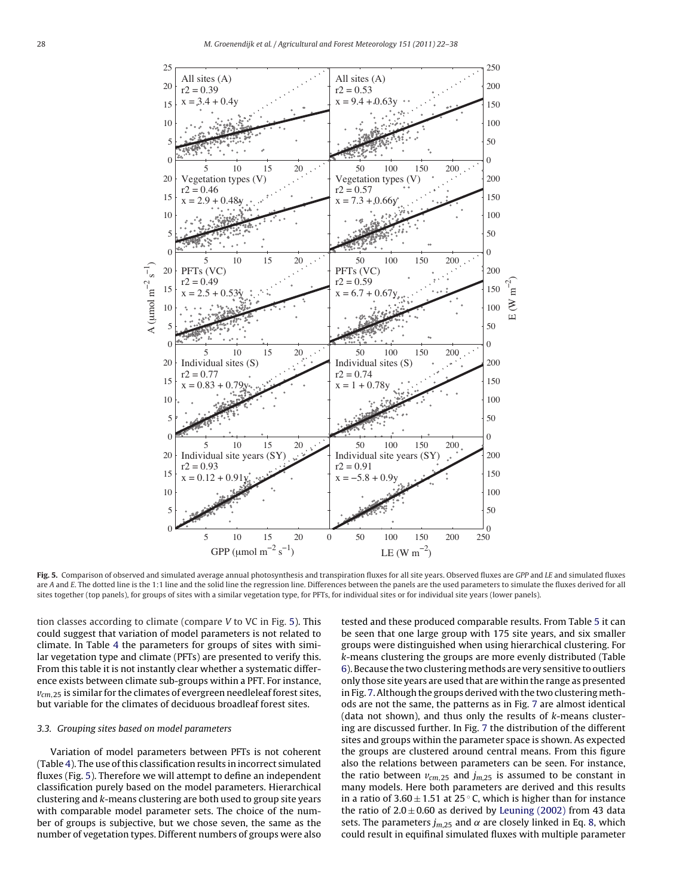<span id="page-6-0"></span>

Fig. 5. Comparison of observed and simulated average annual photosynthesis and transpiration fluxes for all site years. Observed fluxes are GPP and LE and simulated fluxes are A and E. The dotted line is the 1:1 line and the solid line the regression line. Differences between the panels are the used parameters to simulate the fluxes derived for all sites together (top panels), for groups of sites with a similar vegetation type, for PFTs, for individual sites or for individual site years (lower panels).

tion classes according to climate (compare V to VC in Fig. 5). This could suggest that variation of model parameters is not related to climate. In Table [4](#page-8-0) the parameters for groups of sites with similar vegetation type and climate (PFTs) are presented to verify this. From this table it is not instantly clear whether a systematic difference exists between climate sub-groups within a PFT. For instance,  $v_{cm,25}$  is similar for the climates of evergreen needleleaf forest sites, but variable for the climates of deciduous broadleaf forest sites.

#### 3.3. Grouping sites based on model parameters

Variation of model parameters between PFTs is not coherent (Table [4\).](#page-8-0) The use of this classification results in incorrect simulated fluxes (Fig. 5). Therefore we will attempt to define an independent classification purely based on the model parameters. Hierarchical clustering and k-means clustering are both used to group site years with comparable model parameter sets. The choice of the number of groups is subjective, but we chose seven, the same as the number of vegetation types. Different numbers of groups were also tested and these produced comparable results. From Table [5](#page-8-0) it can be seen that one large group with 175 site years, and six smaller groups were distinguished when using hierarchical clustering. For k-means clustering the groups are more evenly distributed (Table [6\).](#page-8-0) Because the two clusteringmethods are very sensitive to outliers only those site years are used that are within the range as presented in Fig. [7. A](#page-9-0)lthough the groups derived with the two clustering methods are not the same, the patterns as in Fig. [7](#page-9-0) are almost identical (data not shown), and thus only the results of k-means clustering are discussed further. In Fig. [7](#page-9-0) the distribution of the different sites and groups within the parameter space is shown. As expected the groups are clustered around central means. From this figure also the relations between parameters can be seen. For instance, the ratio between  $v_{cm,25}$  and  $j_{m,25}$  is assumed to be constant in many models. Here both parameters are derived and this results in a ratio of  $3.60 \pm 1.51$  at  $25$  ° C, which is higher than for instance the ratio of  $2.0 \pm 0.60$  as derived by [Leuning \(2002\)](#page-14-0) from 43 data sets. The parameters  $j_{m,25}$  and  $\alpha$  are closely linked in Eq. [8, w](#page-11-0)hich could result in equifinal simulated fluxes with multiple parameter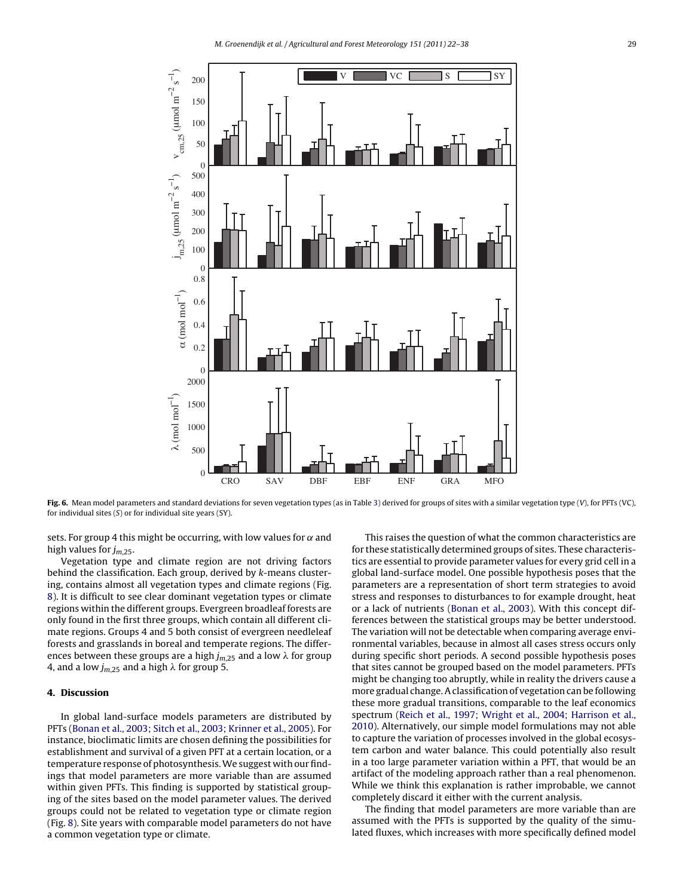<span id="page-7-0"></span>

**Fig. 6.** Mean model parameters and standard deviations for seven vegetation types (as in Table [3\) d](#page-5-0)erived for groups of sites with a similar vegetation type (V), for PFTs (VC), for individual sites (S) or for individual site years (SY).

sets. For group 4 this might be occurring, with low values for  $\alpha$  and high values for  $j_{m,25}$ .

Vegetation type and climate region are not driving factors behind the classification. Each group, derived by k-means clustering, contains almost all vegetation types and climate regions (Fig. [8\).](#page-10-0) It is difficult to see clear dominant vegetation types or climate regions within the different groups. Evergreen broadleaf forests are only found in the first three groups, which contain all different climate regions. Groups 4 and 5 both consist of evergreen needleleaf forests and grasslands in boreal and temperate regions. The differences between these groups are a high  $j_{m,25}$  and a low  $\lambda$  for group 4, and a low  $j_{m,25}$  and a high  $\lambda$  for group 5.

# **4. Discussion**

In global land-surface models parameters are distributed by PFTs [\(Bonan et al., 2003; Sitch et al., 2003; Krinner et al., 2005\).](#page-13-0) For instance, bioclimatic limits are chosen defining the possibilities for establishment and survival of a given PFT at a certain location, or a temperature response of photosynthesis.We suggest with our findings that model parameters are more variable than are assumed within given PFTs. This finding is supported by statistical grouping of the sites based on the model parameter values. The derived groups could not be related to vegetation type or climate region (Fig. [8\).](#page-10-0) Site years with comparable model parameters do not have a common vegetation type or climate.

This raises the question of what the common characteristics are for these statistically determined groups of sites. These characteristics are essential to provide parameter values for every grid cell in a global land-surface model. One possible hypothesis poses that the parameters are a representation of short term strategies to avoid stress and responses to disturbances to for example drought, heat or a lack of nutrients [\(Bonan et al., 2003\).](#page-13-0) With this concept differences between the statistical groups may be better understood. The variation will not be detectable when comparing average environmental variables, because in almost all cases stress occurs only during specific short periods. A second possible hypothesis poses that sites cannot be grouped based on the model parameters. PFTs might be changing too abruptly, while in reality the drivers cause a more gradual change. A classification of vegetation can be following these more gradual transitions, comparable to the leaf economics spectrum ([Reich et al., 1997; Wright et al., 2004; Harrison et al.,](#page-15-0) [2010\).](#page-15-0) Alternatively, our simple model formulations may not able to capture the variation of processes involved in the global ecosystem carbon and water balance. This could potentially also result in a too large parameter variation within a PFT, that would be an artifact of the modeling approach rather than a real phenomenon. While we think this explanation is rather improbable, we cannot completely discard it either with the current analysis.

The finding that model parameters are more variable than are assumed with the PFTs is supported by the quality of the simulated fluxes, which increases with more specifically defined model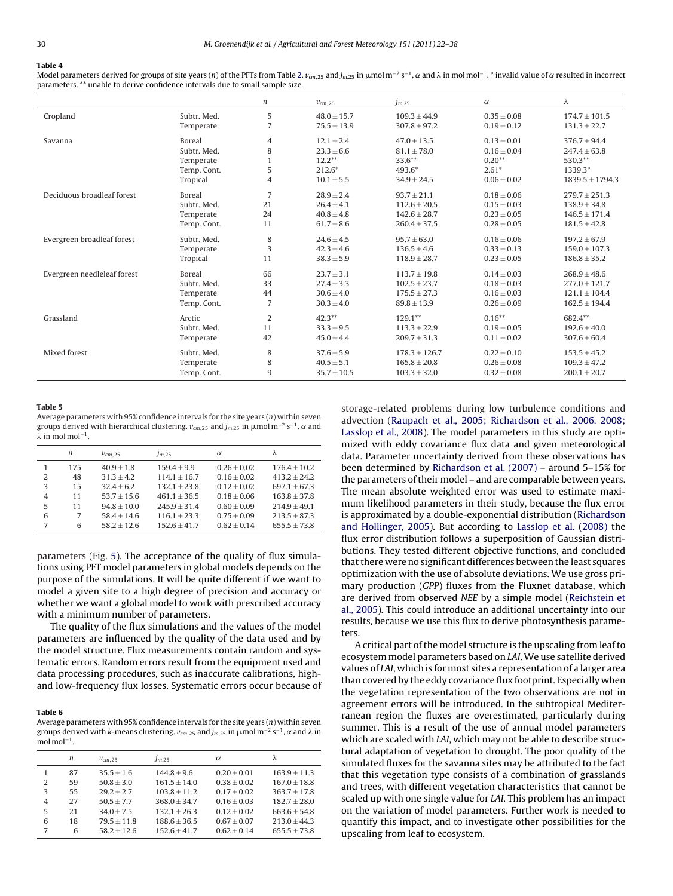## <span id="page-8-0"></span>**Table 4**

Model parameters derived for groups of site years (n) of the PFTs from Table [2.](#page-2-0)  $v_{cm,25}$  and j<sub>m,25</sub> in µmol m<sup>−2</sup> s<sup>−1</sup>,  $\alpha$  and  $\lambda$  in mol mol−<sup>1</sup>. \* invalid value of  $\alpha$  resulted in incorrect parameters. \*\* unable to derive confidence intervals due to small sample size.

|                             |               | $\boldsymbol{n}$ | $v_{cm,25}$     | $j_{m,25}$        | $\alpha$        | λ                   |
|-----------------------------|---------------|------------------|-----------------|-------------------|-----------------|---------------------|
| Cropland                    | Subtr. Med.   | 5                | $48.0 \pm 15.7$ | $109.3 \pm 44.9$  | $0.35 \pm 0.08$ | $174.7 \pm 101.5$   |
|                             | Temperate     | 7                | $75.5 \pm 13.9$ | $307.8 \pm 97.2$  | $0.19 \pm 0.12$ | $131.3 \pm 22.7$    |
| Savanna                     | Boreal        | 4                | $12.1 \pm 2.4$  | $47.0 \pm 13.5$   | $0.13 \pm 0.01$ | $376.7 \pm 94.4$    |
|                             | Subtr. Med.   | 8                | $23.3 \pm 6.6$  | $81.1 \pm 78.0$   | $0.16 \pm 0.04$ | $247.4 \pm 63.8$    |
|                             | Temperate     |                  | $12.2***$       | $33.6***$         | $0.20**$        | $530.3**$           |
|                             | Temp. Cont.   | 5                | $212.6*$        | 493.6*            | $2.61*$         | 1339.3*             |
|                             | Tropical      | 4                | $10.1 \pm 5.5$  | $34.9 \pm 24.5$   | $0.06 \pm 0.02$ | $1839.5 \pm 1794.3$ |
| Deciduous broadleaf forest  | Boreal        | 7                | $28.9 \pm 2.4$  | $93.7 \pm 21.1$   | $0.18 \pm 0.06$ | $279.7 \pm 251.3$   |
|                             | Subtr. Med.   | 21               | $26.4 \pm 4.1$  | $112.6 + 20.5$    | $0.15 \pm 0.03$ | $138.9 \pm 34.8$    |
|                             | Temperate     | 24               | $40.8 \pm 4.8$  | $142.6 + 28.7$    | $0.23 \pm 0.05$ | $146.5 \pm 171.4$   |
|                             | Temp. Cont.   | 11               | $61.7 \pm 8.6$  | $260.4 \pm 37.5$  | $0.28 \pm 0.05$ | $181.5 \pm 42.8$    |
| Evergreen broadleaf forest  | Subtr. Med.   | 8                | $24.6 \pm 4.5$  | $95.7 \pm 63.0$   | $0.16 \pm 0.06$ | $197.2 \pm 67.9$    |
|                             | Temperate     | 3                | $42.3 \pm 4.6$  | $136.5 \pm 4.6$   | $0.33 \pm 0.13$ | $159.0 \pm 107.3$   |
|                             | Tropical      | 11               | $38.3 \pm 5.9$  | $118.9 \pm 28.7$  | $0.23 \pm 0.05$ | $186.8 \pm 35.2$    |
| Evergreen needleleaf forest | <b>Boreal</b> | 66               | $23.7 \pm 3.1$  | $113.7 \pm 19.8$  | $0.14 \pm 0.03$ | $268.9 \pm 48.6$    |
|                             | Subtr. Med.   | 33               | $27.4 \pm 3.3$  | $102.5 \pm 23.7$  | $0.18 \pm 0.03$ | $277.0 \pm 121.7$   |
|                             | Temperate     | 44               | $30.6 \pm 4.0$  | $175.5 \pm 27.3$  | $0.16 \pm 0.03$ | $121.1 \pm 104.4$   |
|                             | Temp. Cont.   | $\overline{7}$   | $30.3 \pm 4.0$  | $89.8 \pm 13.9$   | $0.26 \pm 0.09$ | $162.5 \pm 194.4$   |
| Grassland                   | Arctic        | 2                | $42.3***$       | $129.1***$        | $0.16***$       | 682.4**             |
|                             | Subtr. Med.   | 11               | $33.3 \pm 9.5$  | $113.3 + 22.9$    | $0.19 \pm 0.05$ | $192.6 \pm 40.0$    |
|                             | Temperate     | 42               | $45.0 \pm 4.4$  | $209.7 \pm 31.3$  | $0.11 \pm 0.02$ | $307.6 \pm 60.4$    |
| Mixed forest                | Subtr. Med.   | 8                | $37.6 \pm 5.9$  | $178.3 \pm 126.7$ | $0.22 \pm 0.10$ | $153.5 \pm 45.2$    |
|                             | Temperate     | 8                | $40.5 \pm 5.1$  | $165.8 \pm 20.8$  | $0.26 \pm 0.08$ | $109.3 \pm 47.2$    |
|                             | Temp. Cont.   | 9                | $35.7 \pm 10.5$ | $103.3 \pm 32.0$  | $0.32 \pm 0.08$ | $200.1 \pm 20.7$    |

#### **Table 5**

Average parameters with 95% confidence intervals for the site years  $(n)$  within seven groups derived with hierarchical clustering.  $v_{cm,25}$  and  $j_{m,25}$  in  $\mu$ mol m<sup>−2</sup> s<sup>−1</sup>,  $\alpha$  and λ in mol mol<sup>−1</sup>.

|   | n   | $v_{cm.25}$   | $j_{m,25}$     | $\alpha$      |                |
|---|-----|---------------|----------------|---------------|----------------|
| 1 | 175 | $40.9 + 1.8$  | $159.4 + 9.9$  | $0.26 + 0.02$ | $176.4 + 10.2$ |
| 2 | 48  | $31.3 + 4.2$  | $114.1 + 16.7$ | $0.16 + 0.02$ | $413.2 + 24.2$ |
| 3 | 15  | $32.4 + 6.2$  | $132.1 + 23.8$ | $0.12 + 0.02$ | $697.1 + 67.3$ |
| 4 | 11  | $53.7 + 15.6$ | $461.1 + 36.5$ | $0.18 + 0.06$ | $163.8 + 37.8$ |
| 5 | 11  | $94.8 + 10.0$ | $245.9 + 31.4$ | $0.60 + 0.09$ | $214.9 + 49.1$ |
| 6 | 7   | $58.4 + 14.6$ | $116.1 + 23.3$ | $0.75 + 0.09$ | $213.5 + 87.3$ |
|   | 6   | $58.2 + 12.6$ | $152.6 + 41.7$ | $0.62 + 0.14$ | $655.5 + 73.8$ |

parameters (Fig. [5\).](#page-6-0) The acceptance of the quality of flux simulations using PFT model parameters in global models depends on the purpose of the simulations. It will be quite different if we want to model a given site to a high degree of precision and accuracy or whether we want a global model to work with prescribed accuracy with a minimum number of parameters.

The quality of the flux simulations and the values of the model parameters are influenced by the quality of the data used and by the model structure. Flux measurements contain random and systematic errors. Random errors result from the equipment used and data processing procedures, such as inaccurate calibrations, highand low-frequency flux losses. Systematic errors occur because of

#### **Table 6**

Average parameters with 95% confidence intervals for the site years  $(n)$  within seven groups derived with k-means clustering.  $v_{cm,25}$  and  $j_{m,25}$  in  $\mu$ mol m<sup>−2</sup> s<sup>−1</sup>,  $\alpha$  and  $\lambda$  in mol mol $^{-1}$ .

|   | n  | $v_{cm,25}$   | Jm.25          | $\alpha$      | λ              |
|---|----|---------------|----------------|---------------|----------------|
|   | 87 | $35.5 + 1.6$  | $144.8 + 9.6$  | $0.20 + 0.01$ | $163.9 + 11.3$ |
| 2 | 59 | $50.8 + 3.0$  | $161.5 + 14.0$ | $0.38 + 0.02$ | $167.0 + 18.8$ |
| 3 | 55 | $29.2 + 2.7$  | $103.8 + 11.2$ | $0.17 + 0.02$ | $363.7 + 17.8$ |
| 4 | 27 | $50.5 + 7.7$  | $368.0 + 34.7$ | $0.16 + 0.03$ | $182.7 + 28.0$ |
| 5 | 21 | $34.0 + 7.5$  | $132.1 + 26.3$ | $0.12 + 0.02$ | $663.6 + 54.8$ |
| 6 | 18 | $79.5 + 11.8$ | $188.6 + 36.5$ | $0.67 + 0.07$ | $213.0 + 44.3$ |
| 7 | 6  | $58.2 + 12.6$ | $152.6 + 41.7$ | $0.62 + 0.14$ | $655.5 + 73.8$ |

storage-related problems during low turbulence conditions and advection [\(Raupach et al., 2005; Richardson et al., 2006, 2008;](#page-15-0) [Lasslop et al., 2008\).](#page-15-0) The model parameters in this study are optimized with eddy covariance flux data and given meteorological data. Parameter uncertainty derived from these observations has been determined by [Richardson et al. \(2007\)](#page-15-0) – around 5–15% for the parameters of their model – and are comparable between years. The mean absolute weighted error was used to estimate maximum likelihood parameters in their study, because the flux error is approximated by a double-exponential distribution [\(Richardson](#page-15-0) [and Hollinger, 2005\).](#page-15-0) But according to [Lasslop et al. \(2008\)](#page-14-0) the flux error distribution follows a superposition of Gaussian distributions. They tested different objective functions, and concluded that there were no significant differences between the least squares optimization with the use of absolute deviations. We use gross primary production (GPP) fluxes from the Fluxnet database, which are derived from observed NEE by a simple model ([Reichstein et](#page-15-0) [al., 2005\).](#page-15-0) This could introduce an additional uncertainty into our results, because we use this flux to derive photosynthesis parameters.

A critical part of the model structure is the upscaling from leaf to ecosystem model parameters based on LAI. We use satellite derived values of LAI, which is for most sites a representation of a larger area than covered by the eddy covariance flux footprint. Especially when the vegetation representation of the two observations are not in agreement errors will be introduced. In the subtropical Mediterranean region the fluxes are overestimated, particularly during summer. This is a result of the use of annual model parameters which are scaled with LAI, which may not be able to describe structural adaptation of vegetation to drought. The poor quality of the simulated fluxes for the savanna sites may be attributed to the fact that this vegetation type consists of a combination of grasslands and trees, with different vegetation characteristics that cannot be scaled up with one single value for LAI. This problem has an impact on the variation of model parameters. Further work is needed to quantify this impact, and to investigate other possibilities for the upscaling from leaf to ecosystem.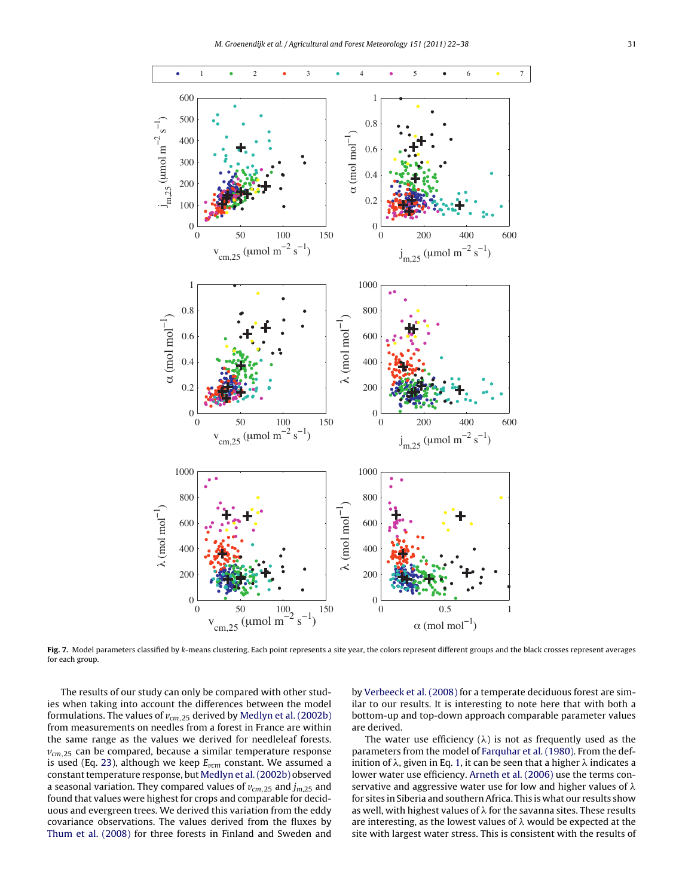<span id="page-9-0"></span>

Fig. 7. Model parameters classified by k-means clustering. Each point represents a site year, the colors represent different groups and the black crosses represent averages for each group.

The results of our study can only be compared with other studies when taking into account the differences between the model formulations. The values of  $v_{cm,25}$  derived by [Medlyn et al. \(2002b\)](#page-15-0) from measurements on needles from a forest in France are within the same range as the values we derived for needleleaf forests.  $v_{cm,25}$  can be compared, because a similar temperature response is used (Eq. [23\),](#page-12-0) although we keep  $E_{vcm}$  constant. We assumed a constant temperature response, but [Medlyn et al. \(2002b\)](#page-15-0) observed a seasonal variation. They compared values of  $v_{cm,25}$  and  $j_{m,25}$  and found that values were highest for crops and comparable for deciduous and evergreen trees. We derived this variation from the eddy covariance observations. The values derived from the fluxes by [Thum et al. \(2008\)](#page-16-0) for three forests in Finland and Sweden and by [Verbeeck et al. \(2008\)](#page-16-0) for a temperate deciduous forest are similar to our results. It is interesting to note here that with both a bottom-up and top-down approach comparable parameter values are derived.

The water use efficiency ( $\lambda$ ) is not as frequently used as the parameters from the model of [Farquhar et al. \(1980\). F](#page-14-0)rom the definition of  $\lambda$ , given in Eq. [1, i](#page-1-0)t can be seen that a higher  $\lambda$  indicates a lower water use efficiency. [Arneth et al. \(2006\)](#page-13-0) use the terms conservative and aggressive water use for low and higher values of  $\lambda$ for sites in Siberia and southern Africa. This is what our results show as well, with highest values of  $\lambda$  for the savanna sites. These results are interesting, as the lowest values of  $\lambda$  would be expected at the site with largest water stress. This is consistent with the results of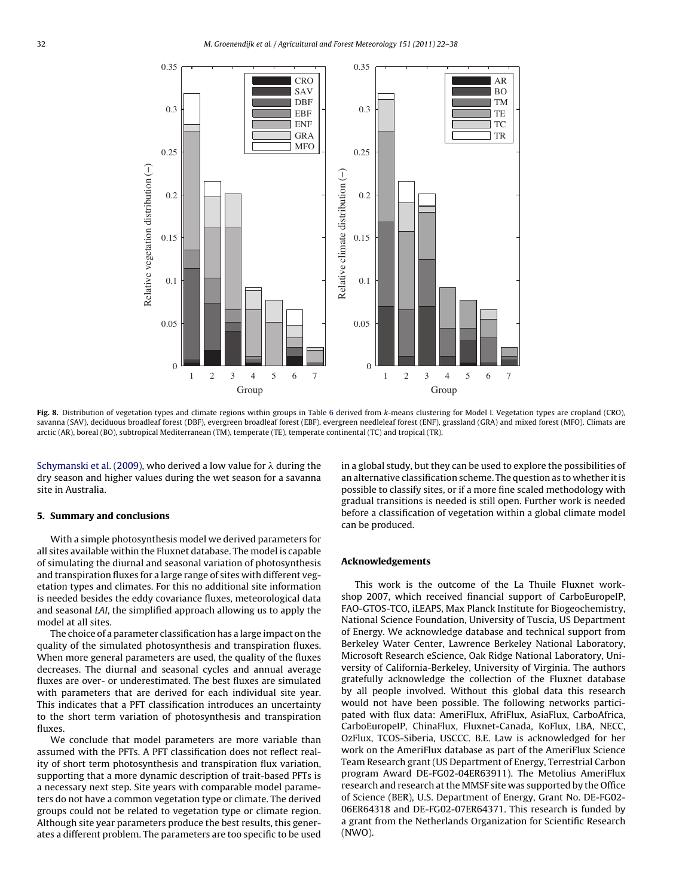<span id="page-10-0"></span>

Fig. 8. Distribution of vegetation types and climate regions within groups in Table [6](#page-8-0) derived from k-means clustering for Model I. Vegetation types are cropland (CRO), savanna (SAV), deciduous broadleaf forest (DBF), evergreen broadleaf forest (EBF), evergreen needleleaf forest (ENF), grassland (GRA) and mixed forest (MFO). Climats are arctic (AR), boreal (BO), subtropical Mediterranean (TM), temperate (TE), temperate continental (TC) and tropical (TR).

[Schymanski et al. \(2009\), w](#page-15-0)ho derived a low value for  $\lambda$  during the dry season and higher values during the wet season for a savanna site in Australia.

#### **5. Summary and conclusions**

With a simple photosynthesis model we derived parameters for all sites available within the Fluxnet database. The model is capable of simulating the diurnal and seasonal variation of photosynthesis and transpiration fluxes for a large range of sites with different vegetation types and climates. For this no additional site information is needed besides the eddy covariance fluxes, meteorological data and seasonal LAI, the simplified approach allowing us to apply the model at all sites.

The choice of a parameter classification has a large impact on the quality of the simulated photosynthesis and transpiration fluxes. When more general parameters are used, the quality of the fluxes decreases. The diurnal and seasonal cycles and annual average fluxes are over- or underestimated. The best fluxes are simulated with parameters that are derived for each individual site year. This indicates that a PFT classification introduces an uncertainty to the short term variation of photosynthesis and transpiration fluxes.

We conclude that model parameters are more variable than assumed with the PFTs. A PFT classification does not reflect reality of short term photosynthesis and transpiration flux variation, supporting that a more dynamic description of trait-based PFTs is a necessary next step. Site years with comparable model parameters do not have a common vegetation type or climate. The derived groups could not be related to vegetation type or climate region. Although site year parameters produce the best results, this generates a different problem. The parameters are too specific to be used in a global study, but they can be used to explore the possibilities of an alternative classification scheme. The question as to whether it is possible to classify sites, or if a more fine scaled methodology with gradual transitions is needed is still open. Further work is needed before a classification of vegetation within a global climate model can be produced.

## **Acknowledgements**

This work is the outcome of the La Thuile Fluxnet workshop 2007, which received financial support of CarboEuropeIP, FAO-GTOS-TCO, iLEAPS, Max Planck Institute for Biogeochemistry, National Science Foundation, University of Tuscia, US Department of Energy. We acknowledge database and technical support from Berkeley Water Center, Lawrence Berkeley National Laboratory, Microsoft Research eScience, Oak Ridge National Laboratory, University of California-Berkeley, University of Virginia. The authors gratefully acknowledge the collection of the Fluxnet database by all people involved. Without this global data this research would not have been possible. The following networks participated with flux data: AmeriFlux, AfriFlux, AsiaFlux, CarboAfrica, CarboEuropeIP, ChinaFlux, Fluxnet-Canada, KoFlux, LBA, NECC, OzFlux, TCOS-Siberia, USCCC. B.E. Law is acknowledged for her work on the AmeriFlux database as part of the AmeriFlux Science Team Research grant (US Department of Energy, Terrestrial Carbon program Award DE-FG02-04ER63911). The Metolius AmeriFlux research and research at the MMSF site was supported by the Office of Science (BER), U.S. Department of Energy, Grant No. DE-FG02- 06ER64318 and DE-FG02-07ER64371. This research is funded by a grant from the Netherlands Organization for Scientific Research (NWO).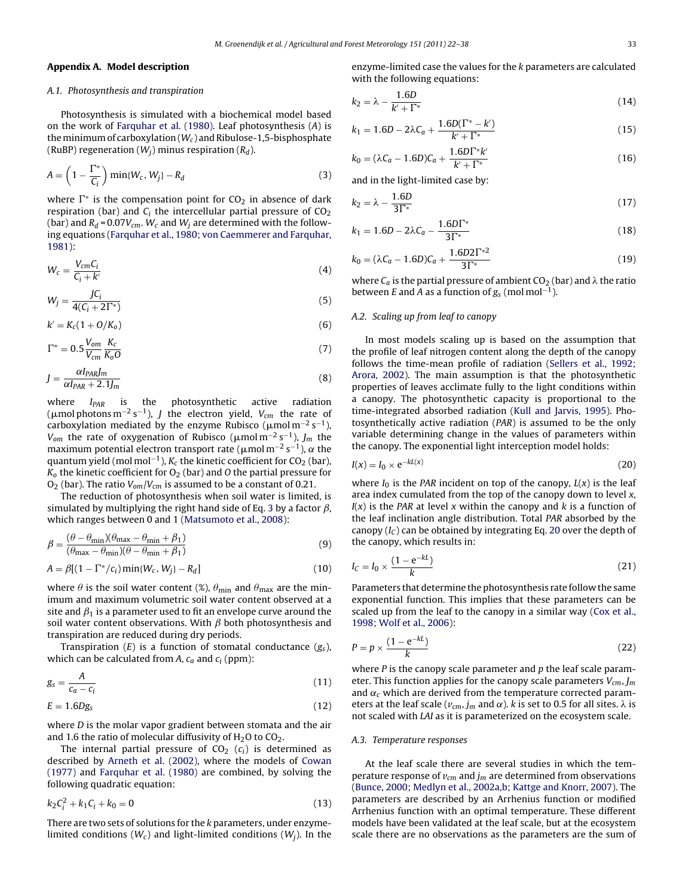#### <span id="page-11-0"></span>**Appendix A. Model description**

#### A.1. Photosynthesis and transpiration

Photosynthesis is simulated with a biochemical model based on the work of [Farquhar et al. \(1980\).](#page-14-0) Leaf photosynthesis (A) is the minimum of carboxylation  $(W_c)$  and Ribulose-1,5-bisphosphate (RuBP) regeneration ( $W_i$ ) minus respiration ( $R_d$ ).

$$
A = \left(1 - \frac{\Gamma^*}{C_i}\right) \min\{W_c, W_j\} - R_d \tag{3}
$$

where  $\Gamma^*$  is the compensation point for CO<sub>2</sub> in absence of dark respiration (bar) and  $C_i$  the intercellular partial pressure of  $CO<sub>2</sub>$ (bar) and  $R_d = 0.07V_{cm}$ . W<sub>c</sub> and W<sub>i</sub> are determined with the following equations ([Farquhar et al., 1980; von Caemmerer and Farquhar,](#page-14-0) [1981\):](#page-14-0)

$$
W_c = \frac{V_{cm}C_i}{C_i + k'}\tag{4}
$$

$$
W_j = \frac{J C_i}{4(C_i + 2\Gamma^*)}
$$
\n<sup>(5)</sup>

$$
k' = K_c(1 + O/K_0)
$$
 (6)

$$
\Gamma^* = 0.5 \frac{V_{om}}{V_{cm}} \frac{K_c}{K_0 O} \tag{7}
$$

$$
J = \frac{\alpha I_{PAR} I_m}{\alpha I_{PAR} + 2.1 J_m}
$$
(8)

where  $I_{PAR}$  is the photosynthetic active radiation ( $\mu$ mol photons m<sup>-2</sup> s<sup>-1</sup>), *J* the electron yield,  $V_{cm}$  the rate of carboxylation mediated by the enzyme Rubisco ( $\mu$ mol m<sup>-2</sup> s<sup>-1</sup>),  $V_{\text{om}}$  the rate of oxygenation of Rubisco ( $\mu$ mol m<sup>-2</sup> s<sup>-1</sup>), J<sub>m</sub> the maximum potential electron transport rate (µmol m<sup>−2</sup> s<sup>−1</sup>),  $\alpha$  the quantum yield (mol mol<sup>-1</sup>),  $K_c$  the kinetic coefficient for CO<sub>2</sub> (bar),  $K_0$  the kinetic coefficient for  $O_2$  (bar) and O the partial pressure for  $O<sub>2</sub>$  (bar). The ratio  $V<sub>om</sub>/V<sub>cm</sub>$  is assumed to be a constant of 0.21.

The reduction of photosynthesis when soil water is limited, is simulated by multiplying the right hand side of Eq. 3 by a factor  $\beta$ , which ranges between 0 and 1 [\(Matsumoto et al., 2008\):](#page-14-0)

$$
\beta = \frac{(\theta - \theta_{\min})(\theta_{\max} - \theta_{\min} + \beta_1)}{(\theta_{\max} - \theta_{\min})(\theta - \theta_{\min} + \beta_1)}
$$
(9)

$$
A = \beta [(1 - \Gamma^* / c_i) \min\{W_c, W_j\} - R_d]
$$
 (10)

where  $\theta$  is the soil water content (%),  $\theta_{\min}$  and  $\theta_{\max}$  are the minimum and maximum volumetric soil water content observed at a site and  $\beta_1$  is a parameter used to fit an envelope curve around the soil water content observations. With  $\beta$  both photosynthesis and transpiration are reduced during dry periods.

Transpiration  $(E)$  is a function of stomatal conductance  $(g<sub>s</sub>)$ , which can be calculated from A,  $c_a$  and  $c_i$  (ppm):

$$
g_s = \frac{A}{c_a - c_i} \tag{11}
$$

$$
E = 1.6Dg_s \tag{12}
$$

where *D* is the molar vapor gradient between stomata and the air and 1.6 the ratio of molecular diffusivity of  $H_2O$  to  $CO_2$ .

The internal partial pressure of  $CO<sub>2</sub>$  ( $c<sub>i</sub>$ ) is determined as described by [Arneth et al. \(2002\),](#page-13-0) where the models of [Cowan](#page-14-0) [\(1977\)](#page-14-0) and [Farquhar et al. \(1980\)](#page-14-0) are combined, by solving the following quadratic equation:

$$
k_2 C_i^2 + k_1 C_i + k_0 = 0 \tag{13}
$$

There are two sets of solutions for the k parameters, under enzymelimited conditions ( $W_c$ ) and light-limited conditions ( $W_i$ ). In the enzyme-limited case the values for the k parameters are calculated with the following equations:

$$
k_2 = \lambda - \frac{1.6D}{k' + \Gamma^*} \tag{14}
$$

$$
k_1 = 1.6D - 2\lambda C_a + \frac{1.6D(\Gamma^* - k')}{k' + \Gamma^*}
$$
\n(15)

$$
k_0 = (\lambda C_a - 1.6D)C_a + \frac{1.6D\Gamma^* k'}{k' + \Gamma^*}
$$
\n(16)

and in the light-limited case by:

$$
k_2 = \lambda - \frac{1.6D}{3\Gamma^*} \tag{17}
$$

$$
k_1 = 1.6D - 2\lambda C_a - \frac{1.6D\Gamma^*}{3\Gamma^*} \tag{18}
$$

$$
k_0 = (\lambda C_a - 1.6D)C_a + \frac{1.6D2\Gamma^{*2}}{3\Gamma^*}
$$
\n(19)

where  $C_a$  is the partial pressure of ambient CO<sub>2</sub> (bar) and  $\lambda$  the ratio between E and A as a function of  $g_s$  (mol mol<sup>-1</sup>).

#### A.2. Scaling up from leaf to canopy

In most models scaling up is based on the assumption that the profile of leaf nitrogen content along the depth of the canopy follows the time-mean profile of radiation ([Sellers et al., 1992;](#page-15-0) [Arora, 2002\).](#page-15-0) The main assumption is that the photosynthetic properties of leaves acclimate fully to the light conditions within a canopy. The photosynthetic capacity is proportional to the time-integrated absorbed radiation ([Kull and Jarvis, 1995\).](#page-14-0) Photosynthetically active radiation (PAR) is assumed to be the only variable determining change in the values of parameters within the canopy. The exponential light interception model holds:

$$
I(x) = I_0 \times e^{-kL(x)} \tag{20}
$$

where  $I_0$  is the PAR incident on top of the canopy,  $L(x)$  is the leaf area index cumulated from the top of the canopy down to level  $x$ ,  $I(x)$  is the PAR at level x within the canopy and k is a function of the leaf inclination angle distribution. Total PAR absorbed by the canopy  $(I_C)$  can be obtained by integrating Eq. 20 over the depth of the canopy, which results in:

$$
I_C = I_0 \times \frac{(1 - e^{-kL})}{k} \tag{21}
$$

Parameters that determine the photosynthesis rate follow the same exponential function. This implies that these parameters can be scaled up from the leaf to the canopy in a similar way [\(Cox et al.,](#page-14-0) [1998; Wolf et al., 2006\):](#page-14-0)

$$
P = p \times \frac{(1 - e^{-kL})}{k} \tag{22}
$$

where  $P$  is the canopy scale parameter and  $p$  the leaf scale parameter. This function applies for the canopy scale parameters  $V_{cm}$ ,  $J_{m}$ and  $\alpha_c$  which are derived from the temperature corrected parameters at the leaf scale ( $v_{cm}, j_m$  and  $\alpha$ ). *k* is set to 0.5 for all sites.  $\lambda$  is not scaled with LAI as it is parameterized on the ecosystem scale.

#### A.3. Temperature responses

At the leaf scale there are several studies in which the temperature response of  $v_{cm}$  and  $j_m$  are determined from observations [\(Bunce, 2000; Medlyn et al., 2002a,b; Kattge and Knorr, 2007\).](#page-13-0) The parameters are described by an Arrhenius function or modified Arrhenius function with an optimal temperature. These different models have been validated at the leaf scale, but at the ecosystem scale there are no observations as the parameters are the sum of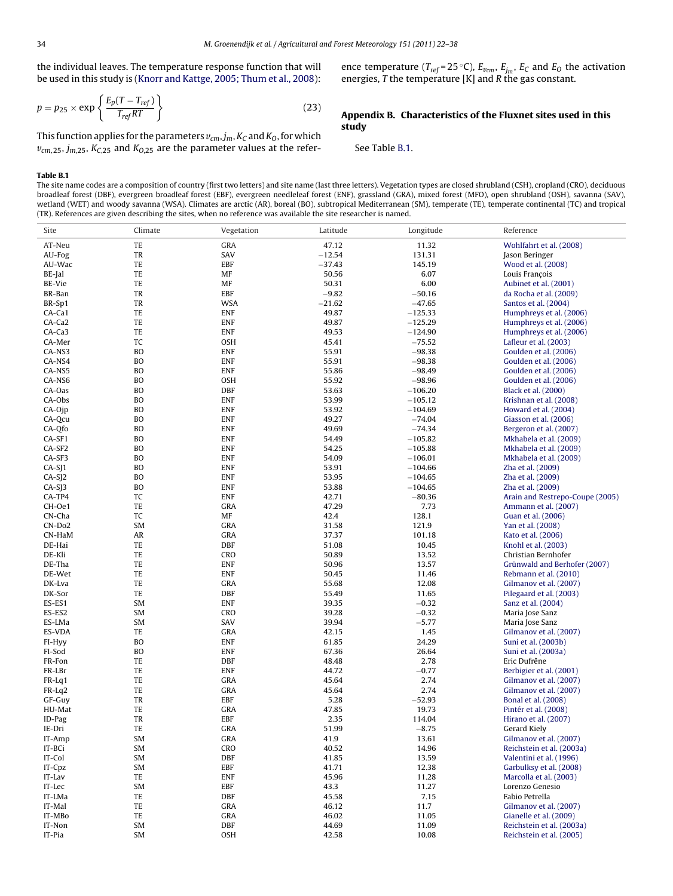<span id="page-12-0"></span>the individual leaves. The temperature response function that will be used in this study is [\(Knorr and Kattge, 2005; Thum et al., 2008\):](#page-14-0)

$$
p = p_{25} \times \exp\left\{ \frac{E_p(T - T_{ref})}{T_{ref}RT} \right\}
$$
 (23)

This function applies for the parameters  $v_{cm}$ ,  $j_m$ ,  $K_C$  and  $K_O$ , for which  $v_{cm,25}$ ,  $j_{m,25}$ ,  $K_{C,25}$  and  $K_{O,25}$  are the parameter values at the reference temperature ( $T_{ref}$ =25 °C),  $E_{v_{cm}}$ ,  $E_{j_m}$ ,  $E_C$  and  $E_O$  the activation energies,  $\overline{T}$  the temperature [K] and  $\overline{R}$  the gas constant.

# **Appendix B. Characteristics of the Fluxnet sites used in this study**

See Table B.1.

## **Table B.1**

The site name codes are a composition of country (first two letters) and site name (last three letters). Vegetation types are closed shrubland (CSH), cropland (CRO), deciduous broadleaf forest (DBF), evergreen broadleaf forest (EBF), evergreen needleleaf forest (ENF), grassland (GRA), mixed forest (MFO), open shrubland (OSH), savanna (SAV), wetland (WET) and woody savanna (WSA). Climates are arctic (AR), boreal (BO), subtropical Mediterranean (SM), temperate (TE), temperate continental (TC) and tropical (TR). References are given describing the sites, when no reference was available the site researcher is named.

| Site             | Climate         | Vegetation        | Latitude       | Longitude              | Reference                                       |
|------------------|-----------------|-------------------|----------------|------------------------|-------------------------------------------------|
| AT-Neu           | TE              | GRA               | 47.12          | 11.32                  | Wohlfahrt et al. (2008)                         |
| AU-Fog           | TR              | SAV               | $-12.54$       | 131.31                 | Jason Beringer                                  |
| AU-Wac           | TE              | EBF               | $-37.43$       | 145.19                 | Wood et al. (2008)                              |
| BE-Jal           | TE              | MF                | 50.56          | 6.07                   | Louis François                                  |
| BE-Vie           | TE              | MF                | 50.31          | 6.00                   | Aubinet et al. (2001)                           |
| BR-Ban           | TR              | EBF               | $-9.82$        | $-50.16$               | da Rocha et al. (2009)                          |
| BR-Sp1           | TR              | <b>WSA</b>        | $-21.62$       | $-47.65$               | Santos et al. (2004)                            |
| CA-Ca1           | TE              | ENF               | 49.87          | $-125.33$              | Humphreys et al. (2006)                         |
| CA-Ca2           | TE              | <b>ENF</b>        | 49.87          | $-125.29$              | Humphreys et al. (2006)                         |
| CA-Ca3           | TE              | <b>ENF</b>        | 49.53          | $-124.90$              | Humphreys et al. (2006)                         |
| CA-Mer           | TC              | 0SH               | 45.41          | $-75.52$               | Lafleur et al. (2003)                           |
| CA-NS3           | <b>BO</b>       | <b>ENF</b>        | 55.91          | $-98.38$               | Goulden et al. (2006)                           |
| CA-NS4           | BO              | ENF               | 55.91          | $-98.38$               | Goulden et al. (2006)                           |
| CA-NS5           | BO              | <b>ENF</b>        | 55.86          | $-98.49$               | Goulden et al. (2006)                           |
| CA-NS6           | BO              | 0SH               | 55.92          | $-98.96$               | Goulden et al. (2006)                           |
| CA-Oas           | <b>BO</b>       | <b>DBF</b>        | 53.63          | $-106.20$              | Black et al. (2000)                             |
| CA-Obs           | BO<br>BO        | <b>ENF</b><br>ENF | 53.99<br>53.92 | $-105.12$<br>$-104.69$ | Krishnan et al. (2008)<br>Howard et al. (2004)  |
| CA-Ojp<br>CA-Qcu | <b>BO</b>       | <b>ENF</b>        | 49.27          | $-74.04$               |                                                 |
| CA-Qfo           | BO              | ENF               | 49.69          | $-74.34$               | Giasson et al. (2006)<br>Bergeron et al. (2007) |
| CA-SF1           | BO              | <b>ENF</b>        | 54.49          | $-105.82$              | Mkhabela et al. (2009)                          |
| CA-SF2           | BO              | <b>ENF</b>        | 54.25          | $-105.88$              | Mkhabela et al. (2009)                          |
| CA-SF3           | <b>BO</b>       | <b>ENF</b>        | 54.09          | $-106.01$              | Mkhabela et al. (2009)                          |
| $CA-SI1$         | <b>BO</b>       | <b>ENF</b>        | 53.91          | $-104.66$              | Zha et al. (2009)                               |
| $CA-SJ2$         | BO              | ENF               | 53.95          | $-104.65$              | Zha et al. (2009)                               |
| $CA-SJ3$         | <b>BO</b>       | <b>ENF</b>        | 53.88          | $-104.65$              | Zha et al. (2009)                               |
| CA-TP4           | TC              | ENF               | 42.71          | $-80.36$               | Arain and Restrepo-Coupe (2005)                 |
| CH-Oe1           | TE              | GRA               | 47.29          | 7.73                   | Ammann et al. (2007)                            |
| CN-Cha           | TC              | MF                | 42.4           | 128.1                  | Guan et al. (2006)                              |
| $CN-Do2$         | <b>SM</b>       | GRA               | 31.58          | 121.9                  | Yan et al. (2008)                               |
| $CN-HaM$         | AR              | GRA               | 37.37          | 101.18                 | Kato et al. (2006)                              |
| DE-Hai           | TE              | DBF               | 51.08          | 10.45                  | Knohl et al. (2003)                             |
| DE-Kli           | TE              | CRO               | 50.89          | 13.52                  | Christian Bernhofer                             |
| DE-Tha           | TE              | ENF               | 50.96          | 13.57                  | Grünwald and Berhofer (2007)                    |
| DE-Wet           | TE              | ENF               | 50.45          | 11.46                  | Rebmann et al. (2010)                           |
| DK-Lva           | TE              | GRA               | 55.68          | 12.08                  | Gilmanov et al. (2007)                          |
| DK-Sor           | TE              | <b>DBF</b>        | 55.49          | 11.65                  | Pilegaard et al. (2003)                         |
| ES-ES1           | <b>SM</b>       | <b>ENF</b>        | 39.35          | $-0.32$                | Sanz et al. (2004)                              |
| ES-ES2           | SM              | <b>CRO</b>        | 39.28          | $-0.32$                | Maria Jose Sanz                                 |
| ES-LMa           | <b>SM</b>       | SAV               | 39.94          | $-5.77$                | Maria Jose Sanz                                 |
| ES-VDA           | TE              | GRA               | 42.15          | 1.45                   | Gilmanov et al. (2007)                          |
| FI-Hyy           | BO              | ENF               | 61.85          | 24.29                  | Suni et al. (2003b)                             |
| FI-Sod<br>FR-Fon | <b>BO</b><br>TE | ENF<br>DBF        | 67.36<br>48.48 | 26.64<br>2.78          | Suni et al. (2003a)<br>Eric Dufrêne             |
| FR-LBr           | TE              | <b>ENF</b>        | 44.72          | $-0.77$                | Berbigier et al. (2001)                         |
| $FR-Lq1$         | TE              | GRA               | 45.64          | 2.74                   | Gilmanov et al. (2007)                          |
| FR-Lq2           | TE              | GRA               | 45.64          | 2.74                   | Gilmanov et al. (2007)                          |
| GF-Guy           | TR              | EBF               | 5.28           | $-52.93$               | Bonal et al. (2008)                             |
| HU-Mat           | TE              | GRA               | 47.85          | 19.73                  | Pintér et al. (2008)                            |
| ID-Pag           | TR              | EBF               | 2.35           | 114.04                 | Hirano et al. (2007)                            |
| IE-Dri           | TE              | GRA               | 51.99          | $-8.75$                | Gerard Kiely                                    |
| IT-Amp           | SM              | GRA               | 41.9           | 13.61                  | Gilmanov et al. (2007)                          |
| IT-BCi           | SM              | CRO               | 40.52          | 14.96                  | Reichstein et al. (2003a)                       |
| IT-Col           | SM              | DBF               | 41.85          | 13.59                  | Valentini et al. (1996)                         |
| $IT-Cpz$         | SM              | EBF               | 41.71          | 12.38                  | Garbulksy et al. (2008)                         |
| IT-Lav           | TE              | ENF               | 45.96          | 11.28                  | Marcolla et al. (2003)                          |
| IT-Lec           | SM              | EBF               | 43.3           | 11.27                  | Lorenzo Genesio                                 |
| IT-LMa           | TE              | DBF               | 45.58          | 7.15                   | Fabio Petrella                                  |
| IT-Mal           | TE              | GRA               | 46.12          | 11.7                   | Gilmanov et al. (2007)                          |
| IT-MBo           | TE              | GRA               | 46.02          | 11.05                  | Gianelle et al. (2009)                          |
| IT-Non           | SM              | DBF               | 44.69          | 11.09                  | Reichstein et al. (2003a)                       |
| IT-Pia           | SM              | OSH               | 42.58          | 10.08                  | Reichstein et al. (2005)                        |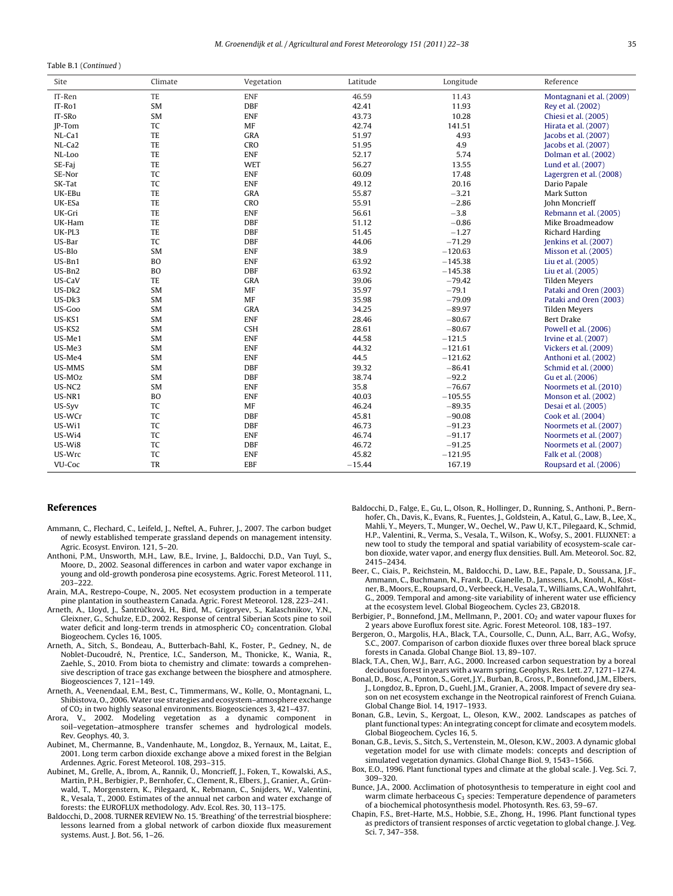| M. Groenendijk et al. / Agricultural and Forest Meteorology 151 (2011) 22-38 |  |
|------------------------------------------------------------------------------|--|
|                                                                              |  |

<span id="page-13-0"></span>Table B.1 (Continued )

| Site   | Climate   | Vegetation | Latitude | Longitude | Reference                |
|--------|-----------|------------|----------|-----------|--------------------------|
| IT-Ren | TE        | <b>ENF</b> | 46.59    | 11.43     | Montagnani et al. (2009) |
| IT-Ro1 | SM        | <b>DBF</b> | 42.41    | 11.93     | Rey et al. (2002)        |
| IT-SRo | <b>SM</b> | <b>ENF</b> | 43.73    | 10.28     | Chiesi et al. (2005)     |
| JP-Tom | TC        | MF         | 42.74    | 141.51    | Hirata et al. (2007)     |
| NL-Ca1 | TE        | <b>GRA</b> | 51.97    | 4.93      | Jacobs et al. $(2007)$   |
| NL-Ca2 | TE        | <b>CRO</b> | 51.95    | 4.9       | Jacobs et al. (2007)     |
| NL-Loo | TE        | <b>ENF</b> | 52.17    | 5.74      | Dolman et al. (2002)     |
| SE-Faj | TE        | <b>WET</b> | 56.27    | 13.55     | Lund et al. (2007)       |
| SE-Nor | TC        | <b>ENF</b> | 60.09    | 17.48     | Lagergren et al. (2008)  |
| SK-Tat | TC        | <b>ENF</b> | 49.12    | 20.16     | Dario Papale             |
| UK-EBu | TE        | <b>GRA</b> | 55.87    | $-3.21$   | <b>Mark Sutton</b>       |
| UK-ESa | TE        | <b>CRO</b> | 55.91    | $-2.86$   | John Moncrieff           |
| UK-Gri | TE        | <b>ENF</b> | 56.61    | $-3.8$    | Rebmann et al. (2005)    |
| UK-Ham | TE        | <b>DBF</b> | 51.12    | $-0.86$   | Mike Broadmeadow         |
| UK-PL3 | TE        | <b>DBF</b> | 51.45    | $-1.27$   | <b>Richard Harding</b>   |
| US-Bar | TC        | <b>DBF</b> | 44.06    | $-71.29$  | Jenkins et al. (2007)    |
| US-Blo | SM        | <b>ENF</b> | 38.9     | $-120.63$ | Misson et al. (2005)     |
| US-Bn1 | <b>BO</b> | <b>ENF</b> | 63.92    | $-145.38$ | Liu et al. (2005)        |
| US-Bn2 | <b>BO</b> | <b>DBF</b> | 63.92    | $-145.38$ | Liu et al. (2005)        |
| US-CaV | TE        | GRA        | 39.06    | $-79.42$  | <b>Tilden Meyers</b>     |
| US-Dk2 | <b>SM</b> | MF         | 35.97    | $-79.1$   | Pataki and Oren (2003)   |
| US-Dk3 | <b>SM</b> | MF         | 35.98    | $-79.09$  | Pataki and Oren (2003)   |
| US-Goo | <b>SM</b> | <b>GRA</b> | 34.25    | $-89.97$  | <b>Tilden Meyers</b>     |
| US-KS1 | <b>SM</b> | <b>ENF</b> | 28.46    | $-80.67$  | <b>Bert Drake</b>        |
| US-KS2 | SM        | <b>CSH</b> | 28.61    | $-80.67$  | Powell et al. (2006)     |
| US-Me1 | SM        | <b>ENF</b> | 44.58    | $-121.5$  | Irvine et al. (2007)     |
| US-Me3 | SM        | <b>ENF</b> | 44.32    | $-121.61$ | Vickers et al. (2009)    |
| US-Me4 | <b>SM</b> | <b>ENF</b> | 44.5     | $-121.62$ | Anthoni et al. (2002)    |
| US-MMS | <b>SM</b> | <b>DBF</b> | 39.32    | $-86.41$  | Schmid et al. (2000)     |
| US-MOz | <b>SM</b> | <b>DBF</b> | 38.74    | $-92.2$   | Gu et al. (2006)         |
| US-NC2 | SM        | <b>ENF</b> | 35.8     | $-76.67$  | Noormets et al. (2010)   |
| US-NR1 | <b>BO</b> | <b>ENF</b> | 40.03    | $-105.55$ | Monson et al. (2002)     |
| US-Syv | TC        | MF         | 46.24    | $-89.35$  | Desai et al. (2005)      |
| US-WCr | TC        | <b>DBF</b> | 45.81    | $-90.08$  | Cook et al. (2004)       |
| US-Wi1 | TC        | <b>DBF</b> | 46.73    | $-91.23$  | Noormets et al. (2007)   |
| US-Wi4 | TC        | <b>ENF</b> | 46.74    | $-91.17$  | Noormets et al. (2007)   |
| US-Wi8 | TC        | <b>DBF</b> | 46.72    | $-91.25$  | Noormets et al. (2007)   |
| US-Wrc | TC        | <b>ENF</b> | 45.82    | $-121.95$ | Falk et al. (2008)       |
| VU-Coc | TR        | EBF        | $-15.44$ | 167.19    | Roupsard et al. (2006)   |

#### **References**

- Ammann, C., Flechard, C., Leifeld, J., Neftel, A., Fuhrer, J., 2007. The carbon budget of newly established temperate grassland depends on management intensity. Agric. Ecosyst. Environ. 121, 5–20.
- Anthoni, P.M., Unsworth, M.H., Law, B.E., Irvine, J., Baldocchi, D.D., Van Tuyl, S., Moore, D., 2002. Seasonal differences in carbon and water vapor exchange in young and old-growth ponderosa pine ecosystems. Agric. Forest Meteorol. 111, 203–222.
- Arain, M.A., Restrepo-Coupe, N., 2005. Net ecosystem production in a temperate pine plantation in southeastern Canada. Agric. Forest Meteorol. 128, 223–241.
- Arneth, A., Lloyd, J., Šantrůčková, H., Bird, M., Grigoryev, S., Kalaschnikov, Y.N., Gleixner, G., Schulze, E.D., 2002. Response of central Siberian Scots pine to soil water deficit and long-term trends in atmospheric  $CO<sub>2</sub>$  concentration. Global Biogeochem. Cycles 16, 1005.
- Arneth, A., Sitch, S., Bondeau, A., Butterbach-Bahl, K., Foster, P., Gedney, N., de Noblet-Ducoudré, N., Prentice, I.C., Sanderson, M., Thonicke, K., Wania, R., Zaehle, S., 2010. From biota to chemistry and climate: towards a comprehensive description of trace gas exchange between the biosphere and atmosphere. Biogeosciences 7, 121–149.
- Arneth, A., Veenendaal, E.M., Best, C., Timmermans, W., Kolle, O., Montagnani, L., Shibistova, O., 2006. Water use strategies and ecosystem–atmosphere exchange of CO2 in two highly seasonal environments. Biogeosciences 3, 421–437.
- Arora, V., 2002. Modeling vegetation as a dynamic component in soil–vegetation–atmosphere transfer schemes and hydrological models. Rev. Geophys. 40, 3.
- Aubinet, M., Chermanne, B., Vandenhaute, M., Longdoz, B., Yernaux, M., Laitat, E., 2001. Long term carbon dioxide exchange above a mixed forest in the Belgian Ardennes. Agric. Forest Meteorol. 108, 293–315.
- Aubinet, M., Grelle, A., Ibrom, A., Rannik, Ü., Moncrieff, J., Foken, T., Kowalski, A.S., Martin, P.H., Berbigier, P., Bernhofer, C., Clement, R., Elbers, J., Granier, A., Grünwald, T., Morgenstern, K., Pilegaard, K., Rebmann, C., Snijders, W., Valentini, R., Vesala, T., 2000. Estimates of the annual net carbon and water exchange of forests: the EUROFLUX methodology. Adv. Ecol. Res. 30, 113–175.
- Baldocchi, D., 2008. TURNER REVIEW No. 15. 'Breathing' of the terrestrial biosphere: lessons learned from a global network of carbon dioxide flux measurement systems. Aust. J. Bot. 56, 1–26.
- Baldocchi, D., Falge, E., Gu, L., Olson, R., Hollinger, D., Running, S., Anthoni, P., Bernhofer, Ch., Davis, K., Evans, R., Fuentes, J., Goldstein, A., Katul, G., Law, B., Lee, X., Mahli, Y., Meyers, T., Munger, W., Oechel, W., Paw U, K.T., Pilegaard, K., Schmid, H.P., Valentini, R., Verma, S., Vesala, T., Wilson, K., Wofsy, S., 2001. FLUXNET: a new tool to study the temporal and spatial variability of ecosystem-scale carbon dioxide, water vapor, and energy flux densities. Bull. Am. Meteorol. Soc. 82, 2415–2434.
- Beer, C., Ciais, P., Reichstein, M., Baldocchi, D., Law, B.E., Papale, D., Soussana, J.F., Ammann, C., Buchmann, N., Frank, D., Gianelle, D., Janssens, I.A., Knohl, A., Köstner, B., Moors, E., Roupsard, O., Verbeeck, H., Vesala, T.,Williams, C.A.,Wohlfahrt, G., 2009. Temporal and among-site variability of inherent water use efficiency at the ecosystem level. Global Biogeochem. Cycles 23, GB2018.
- Berbigier, P., Bonnefond, J.M., Mellmann, P., 2001.  $CO<sub>2</sub>$  and water vapour fluxes for 2 years above Euroflux forest site. Agric. Forest Meteorol. 108, 183–197.
- Bergeron, O., Margolis, H.A., Black, T.A., Coursolle, C., Dunn, A.L., Barr, A.G., Wofsy, S.C., 2007. Comparison of carbon dioxide fluxes over three boreal black spruce forests in Canada. Global Change Biol. 13, 89–107.
- Black, T.A., Chen, W.J., Barr, A.G., 2000. Increased carbon sequestration by a boreal deciduous forest in years with a warm spring. Geophys. Res. Lett. 27, 1271–1274.
- Bonal, D., Bosc, A., Ponton, S., Goret, J.Y., Burban, B., Gross, P., Bonnefond, J.M., Elbers, J., Longdoz, B., Epron, D., Guehl, J.M., Granier, A., 2008. Impact of severe dry season on net ecosystem exchange in the Neotropical rainforest of French Guiana. Global Change Biol. 14, 1917–1933.
- Bonan, G.B., Levin, S., Kergoat, L., Oleson, K.W., 2002. Landscapes as patches of plant functional types: An integrating concept for climate and ecosytem models. Global Biogeochem. Cycles 16, 5.
- Bonan, G.B., Levis, S., Sitch, S., Vertenstein, M., Oleson, K.W., 2003. A dynamic global vegetation model for use with climate models: concepts and description of simulated vegetation dynamics. Global Change Biol. 9, 1543–1566.
- Box, E.O., 1996. Plant functional types and climate at the global scale. J. Veg. Sci. 7, 309–320.
- Bunce, J.A., 2000. Acclimation of photosynthesis to temperature in eight cool and warm climate herbaceous  $C_3$  species: Temperature dependence of parameters of a biochemical photosynthesis model. Photosynth. Res. 63, 59–67.
- Chapin, F.S., Bret-Harte, M.S., Hobbie, S.E., Zhong, H., 1996. Plant functional types as predictors of transient responses of arctic vegetation to global change. J. Veg. Sci. 7, 347–358.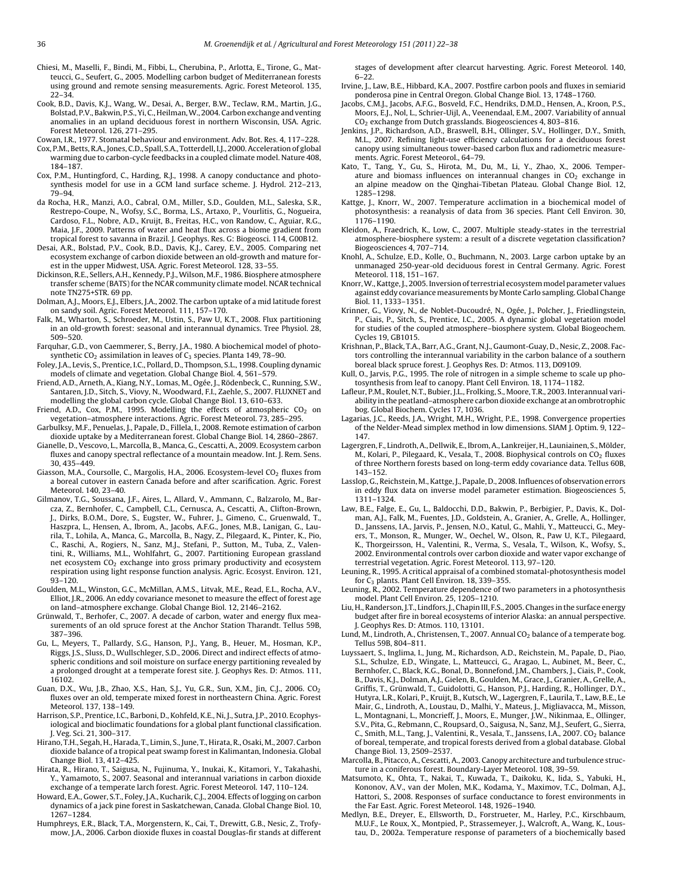- <span id="page-14-0"></span>Chiesi, M., Maselli, F., Bindi, M., Fibbi, L., Cherubina, P., Arlotta, E., Tirone, G., Matteucci, G., Seufert, G., 2005. Modelling carbon budget of Mediterranean forests using ground and remote sensing measurements. Agric. Forest Meteorol. 135, 22–34.
- Cook, B.D., Davis, K.J., Wang, W., Desai, A., Berger, B.W., Teclaw, R.M., Martin, J.G., Bolstad, P.V., Bakwin, P.S., Yi, C., Heilman,W., 2004. Carbon exchange and venting anomalies in an upland deciduous forest in northern Wisconsin, USA. Agric. Forest Meteorol. 126, 271–295.
- Cowan, I.R., 1977. Stomatal behaviour and environment. Adv. Bot. Res. 4, 117–228. Cox, P.M., Betts, R.A., Jones, C.D., Spall, S.A., Totterdell, I.J., 2000. Acceleration of global warming due to carbon-cycle feedbacks in a coupled climate model. Nature 408, 184–187.
- Cox, P.M., Huntingford, C., Harding, R.J., 1998. A canopy conductance and photosynthesis model for use in a GCM land surface scheme. J. Hydrol. 212–213, 79–94.
- da Rocha, H.R., Manzi, A.O., Cabral, O.M., Miller, S.D., Goulden, M.L., Saleska, S.R., Restrepo-Coupe, N., Wofsy, S.C., Borma, L.S., Artaxo, P., Vourlitis, G., Nogueira, Cardoso, F.L., Nobre, A.D., Kruijt, B., Freitas, H.C., von Randow, C., Aguiar, R.G., Maia, J.F., 2009. Patterns of water and heat flux across a biome gradient from tropical forest to savanna in Brazil. J. Geophys. Res. G: Biogeosci. 114, G00B12.
- Desai, A.R., Bolstad, P.V., Cook, B.D., Davis, K.J., Carey, E.V., 2005. Comparing net ecosystem exchange of carbon dioxide between an old-growth and mature forest in the upper Midwest, USA. Agric. Forest Meteorol. 128, 33–55.
- Dickinson, R.E., Sellers, A.H., Kennedy, P.J.,Wilson, M.F., 1986. Biosphere atmosphere transfer scheme (BATS) for the NCAR community climate model. NCAR technical note TN275+STR. 69 pp.
- Dolman, A.J., Moors, E.J., Elbers, J.A., 2002. The carbon uptake of a mid latitude forest on sandy soil. Agric. Forest Meteorol. 111, 157–170.
- Falk, M., Wharton, S., Schroeder, M., Ustin, S., Paw U, K.T., 2008. Flux partitioning in an old-growth forest: seasonal and interannual dynamics. Tree Physiol. 28, 509–520.
- Farquhar, G.D., von Caemmerer, S., Berry, J.A., 1980. A biochemical model of photosynthetic CO<sub>2</sub> assimilation in leaves of C<sub>3</sub> species. Planta 149, 78-90.
- Foley, J.A., Levis, S., Prentice, I.C., Pollard, D., Thompson, S.L., 1998. Coupling dynamic models of climate and vegetation. Global Change Biol. 4, 561–579.
- Friend, A.D., Arneth, A., Kiang, N.Y., Lomas, M., Ogée, J., Rödenbeck, C., Running, S.W., Santaren, J.D., Sitch, S., Viovy, N., Woodward, F.I., Zaehle, S., 2007. FLUXNET and modelling the global carbon cycle. Global Change Biol. 13, 610–633.
- Friend, A.D., Cox, P.M., 1995. Modelling the effects of atmospheric  $CO<sub>2</sub>$  on vegetation–atmosphere interactions. Agric. Forest Meteorol. 73, 285–295.
- Garbulksy, M.F., Penuelas, J., Papale, D., Fillela, I., 2008. Remote estimation of carbon dioxide uptake by a Mediterranean forest. Global Change Biol. 14, 2860–2867.
- Gianelle, D., Vescovo, L., Marcolla, B., Manca, G., Cescatti, A., 2009. Ecosystem carbon fluxes and canopy spectral reflectance of a mountain meadow. Int. J. Rem. Sens. 30, 435–449.
- Giasson, M.A., Coursolle, C., Margolis, H.A., 2006. Ecosystem-level  $CO<sub>2</sub>$  fluxes from a boreal cutover in eastern Canada before and after scarification. Agric. Forest Meteorol. 140, 23–40.
- Gilmanov, T.G., Soussana, J.F., Aires, L., Allard, V., Ammann, C., Balzarolo, M., Barcza, Z., Bernhofer, C., Campbell, C.L., Cernusca, A., Cescatti, A., Clifton-Brown, J., Dirks, B.O.M., Dore, S., Eugster, W., Fuhrer, J., Gimeno, C., Gruenwald, T., Haszpra, L., Hensen, A., Ibrom, A., Jacobs, A.F.G., Jones, M.B., Lanigan, G., Lau-<br>rila, T., Lohila, A., Manca, G., Marcolla, B., Nagy, Z., Pilegaard, K., Pinter, K., Pio, C., Raschi, A., Rogiers, N., Sanz, M.J., Stefani, P., Sutton, M., Tuba, Z., Valentini, R., Williams, M.L., Wohlfahrt, G., 2007. Partitioning European grassland net ecosystem CO2 exchange into gross primary productivity and ecosystem respiration using light response function analysis. Agric. Ecosyst. Environ. 121, 93–120.
- Goulden, M.L., Winston, G.C., McMillan, A.M.S., Litvak, M.E., Read, E.L., Rocha, A.V., Elliot, J.R., 2006. An eddy covariance mesonet to measure the effect of forest age on land–atmosphere exchange. Global Change Biol. 12, 2146–2162.
- Grünwald, T., Berhofer, C., 2007. A decade of carbon, water and energy flux measurements of an old spruce forest at the Anchor Station Tharandt. Tellus 59B, 387–396.
- Gu, L., Meyers, T., Pallardy, S.G., Hanson, P.J., Yang, B., Heuer, M., Hosman, K.P., Riggs, J.S., Sluss, D., Wullschleger, S.D., 2006. Direct and indirect effects of atmospheric conditions and soil moisture on surface energy partitioning revealed by a prolonged drought at a temperate forest site. J. Geophys Res. D: Atmos. 111, 16102.
- Guan, D.X., Wu, J.B., Zhao, X.S., Han, S.J., Yu, G.R., Sun, X.M., Jin, C.J., 2006. CO<sub>2</sub> fluxes over an old, temperate mixed forest in northeastern China. Agric. Forest Meteorol. 137, 138–149.
- Harrison, S.P., Prentice, I.C., Barboni, D., Kohfeld, K.E., Ni, J., Sutra, J.P., 2010. Ecophysiological and bioclimatic foundations for a global plant functional classification. J. Veg. Sci. 21, 300–317.
- Hirano, T.H., Segah, H., Harada, T., Limin, S., June, T., Hirata, R., Osaki, M., 2007. Carbon dioxide balance of a tropical peat swamp forest in Kalimantan, Indonesia. Global Change Biol. 13, 412–425.
- Hirata, R., Hirano, T., Saigusa, N., Fujinuma, Y., Inukai, K., Kitamori, Y., Takahashi, Y., Yamamoto, S., 2007. Seasonal and interannual variations in carbon dioxide exchange of a temperate larch forest. Agric. Forest Meteorol. 147, 110–124.
- Howard, E.A., Gower, S.T., Foley, J.A., Kucharik, C.J., 2004. Effects of logging on carbon dynamics of a jack pine forest in Saskatchewan, Canada. Global Change Biol. 10, 1267–1284.
- Humphreys, E.R., Black, T.A., Morgenstern, K., Cai, T., Drewitt, G.B., Nesic, Z., Trofymow, J.A., 2006. Carbon dioxide fluxes in coastal Douglas-fir stands at different

stages of development after clearcut harvesting. Agric. Forest Meteorol. 140, 6–22.

- Irvine, J., Law, B.E., Hibbard, K.A., 2007. Postfire carbon pools and fluxes in semiarid ponderosa pine in Central Oregon. Global Change Biol. 13, 1748–1760.
- Jacobs, C.M.J., Jacobs, A.F.G., Bosveld, F.C., Hendriks, D.M.D., Hensen, A., Kroon, P.S., Moors, E.J., Nol, L., Schrier-Uijl, A., Veenendaal, E.M., 2007. Variability of annual CO2 exchange from Dutch grasslands. Biogeosciences 4, 803–816.
- Jenkins, J.P., Richardson, A.D., Braswell, B.H., Ollinger, S.V., Hollinger, D.Y., Smith, M.L., 2007. Refining light-use efficiency calculations for a deciduous forest canopy using simultaneous tower-based carbon flux and radiometric measurements. Agric. Forest Meteorol., 64–79.
- Kato, T., Tang, Y., Gu, S., Hirota, M., Du, M., Li, Y., Zhao, X., 2006. Temperature and biomass influences on interannual changes in CO<sub>2</sub> exchange in an alpine meadow on the Qinghai-Tibetan Plateau. Global Change Biol. 12, 1285–1298.
- Kattge, J., Knorr, W., 2007. Temperature acclimation in a biochemical model of photosynthesis: a reanalysis of data from 36 species. Plant Cell Environ. 30, 1176–1190.
- Kleidon, A., Fraedrich, K., Low, C., 2007. Multiple steady-states in the terrestrial atmosphere-biosphere system: a result of a discrete vegetation classification? Biogeosciences 4, 707–714.
- Knohl, A., Schulze, E.D., Kolle, O., Buchmann, N., 2003. Large carbon uptake by an unmanaged 250-year-old deciduous forest in Central Germany. Agric. Forest Meteorol. 118, 151–167.
- Knorr,W., Kattge, J., 2005. Inversion of terrestrial ecosystem model parameter values against eddy covariance measurements by Monte Carlo sampling. Global Change Biol. 11, 1333–1351.
- Krinner, G., Viovy, N., de Noblet-Ducoudré, N., Ogée, J., Polcher, J., Friedlingstein, P., Ciais, P., Sitch, S., Prentice, I.C., 2005. A dynamic global vegetation model for studies of the coupled atmosphere–biosphere system. Global Biogeochem. Cycles 19, GB1015.
- Krishnan, P., Black, T.A., Barr, A.G., Grant, N.J., Gaumont-Guay, D., Nesic, Z., 2008. Factors controlling the interannual variability in the carbon balance of a southern boreal black spruce forest. J. Geophys Res. D: Atmos. 113, D09109.
- Kull, O., Jarvis, P.G., 1995. The role of nitrogen in a simple scheme to scale up photosynthesis from leaf to canopy. Plant Cell Environ. 18, 1174–1182.
- Lafleur, P.M., Roulet, N.T., Bubier, J.L., Frolking, S., Moore, T.R., 2003. Interannual variability in the peatland–atmosphere carbon dioxide exchange at an ombrotrophic bog. Global Biochem. Cycles 17, 1036.
- Lagarias, J.C., Reeds, J.A., Wright, M.H., Wright, P.E., 1998. Convergence properties of the Nelder-Mead simplex method in low dimensions. SIAM J. Optim. 9, 122– 147.
- Lagergren, F., Lindroth, A., Dellwik, E., Ibrom, A., Lankreijer, H., Launiainen, S., Mölder, M., Kolari, P., Pilegaard, K., Vesala, T., 2008. Biophysical controls on CO<sub>2</sub> fluxes of three Northern forests based on long-term eddy covariance data. Tellus 60B, 143–152.
- Lasslop, G., Reichstein, M., Kattge, J., Papale, D., 2008. Influences of observation errors in eddy flux data on inverse model parameter estimation. Biogeosciences 5, 1311–1324.
- Law, B.E., Falge, E., Gu, L., Baldocchi, D.D., Bakwin, P., Berbigier, P., Davis, K., Dolman, A.J., Falk, M., Fuentes, J.D., Goldstein, A., Granier, A., Grelle, A., Hollinger, D., Janssens, I.A., Jarvis, P., Jensen, N.O., Katul, G., Mahli, Y., Matteucci, G., Meyers, T., Monson, R., Munger, W., Oechel, W., Olson, R., Paw U, K.T., Pilegaard, K., Thorgeirsson, H., Valentini, R., Verma, S., Vesala, T., Wilson, K., Wofsy, S., 2002. Environmental controls over carbon dioxide and water vapor exchange of terrestrial vegetation. Agric. Forest Meteorol. 113, 97–120.
- Leuning, R., 1995. A critical appraisal of a combined stomatal-photosynthesis model for C3 plants. Plant Cell Environ. 18, 339–355.
- Leuning, R., 2002. Temperature dependence of two parameters in a photosynthesis model. Plant Cell Environ. 25, 1205–1210.
- Liu, H., Randerson, J.T., Lindfors, J., Chapin III, F.S., 2005. Changes in the surface energy budget after fire in boreal ecosystems of interior Alaska: an annual perspective. J. Geophys Res. D: Atmos. 110, 13101.
- Lund, M., Lindroth, A., Christensen, T., 2007. Annual CO<sub>2</sub> balance of a temperate bog. Tellus 59B, 804–811.
- Luyssaert, S., Inglima, I., Jung, M., Richardson, A.D., Reichstein, M., Papale, D., Piao, S.L., Schulze, E.D., Wingate, L., Matteucci, G., Aragao, L., Aubinet, M., Beer, C., Bernhofer, C., Black, K.G., Bonal, D., Bonnefond, J.M., Chambers, J., Ciais, P., Cook, B., Davis, K.J., Dolman, A.J., Gielen, B., Goulden, M., Grace, J., Granier, A., Grelle, A., Griffis, T., Grünwald, T., Guidolotti, G., Hanson, P.J., Harding, R., Hollinger, D.Y., Hutyra, L.R., Kolari, P., Kruijt, B., Kutsch, W., Lagergren, F., Laurila, T., Law, B.E., Le Mair, G., Lindroth, A., Loustau, D., Malhi, Y., Mateus, J., Migliavacca, M., Misson, L., Montagnani, L., Moncrieff, J., Moors, E., Munger, J.W., Nikinmaa, E., Ollinger, S.V., Pita, G., Rebmann, C., Roupsard, O., Saigusa, N., Sanz, M.J., Seufert, G., Sierra, C., Smith, M.L., Tang, J., Valentini, R., Vesala, T., Janssens, I.A., 2007. CO<sub>2</sub> balance of boreal, temperate, and tropical forests derived from a global database. Global Change Biol. 13, 2509–2537.
- Marcolla, B., Pitacco, A., Cescatti, A., 2003. Canopy architecture and turbulence structure in a coniferous forest. Boundary-Layer Meteorol. 108, 39–59.
- Matsumoto, K., Ohta, T., Nakai, T., Kuwada, T., Daikoku, K., Iida, S., Yabuki, H., Kononov, A.V., van der Molen, M.K., Kodama, Y., Maximov, T.C., Dolman, A.J., Hattori, S., 2008. Responses of surface conductance to forest environments in the Far East. Agric. Forest Meteorol. 148, 1926–1940.
- Medlyn, B.E., Dreyer, E., Ellsworth, D., Forstrueter, M., Harley, P.C., Kirschbaum, M.U.F., Le Roux, X., Montpied, P., Strassemeyer, J., Walcroft, A., Wang, K., Loustau, D., 2002a. Temperature response of parameters of a biochemically based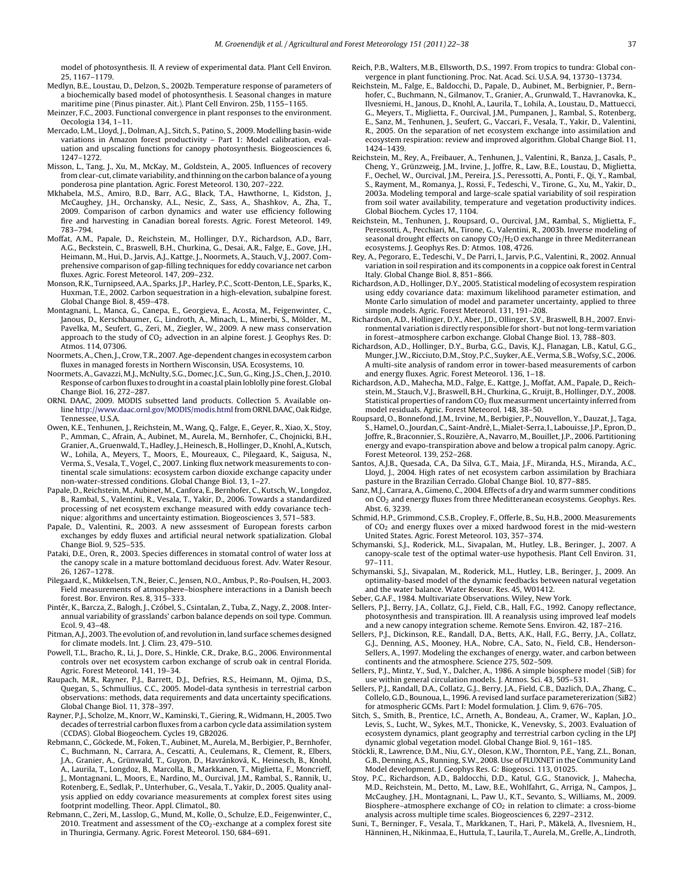<span id="page-15-0"></span>model of photosynthesis. II. A review of experimental data. Plant Cell Environ. 25, 1167–1179.

- Medlyn, B.E., Loustau, D., Delzon, S., 2002b. Temperature response of parameters of a biochemically based model of photosynthesis. I. Seasonal changes in mature maritime pine (Pinus pinaster. Ait.). Plant Cell Environ. 25b, 1155–1165.
- Meinzer, F.C., 2003. Functional convergence in plant responses to the environment. Oecologia 134, 1–11.
- Mercado, L.M., Lloyd, J., Dolman, A.J., Sitch, S., Patino, S., 2009. Modelling basin-wide variations in Amazon forest productivity – Part 1: Model calibration, evaluation and upscaling functions for canopy photosynthesis. Biogeosciences 6, 1247–1272.
- Misson, L., Tang, J., Xu, M., McKay, M., Goldstein, A., 2005. Influences of recovery from clear-cut, climate variability, and thinning on the carbon balance of a young ponderosa pine plantation. Agric. Forest Meteorol. 130, 207–222.
- Mkhabela, M.S., Amiro, B.D., Barr, A.G., Black, T.A., Hawthorne, I., Kidston, J., McCaughey, J.H., Orchansky, A.L., Nesic, Z., Sass, A., Shashkov, A., Zha, T., 2009. Comparison of carbon dynamics and water use efficiency following fire and harvesting in Canadian boreal forests. Agric. Forest Meteorol. 149, 783–794.
- Moffat, A.M., Papale, D., Reichstein, M., Hollinger, D.Y., Richardson, A.D., Barr, A.G., Beckstein, C., Braswell, B.H., Churkina, G., Desai, A.R., Falge, E., Gove, J.H., Heimann, M., Hui, D., Jarvis, A.J., Kattge, J., Noormets, A., Stauch, V.J., 2007. Comprehensive comparison of gap-filling techniques for eddy covariance net carbon fluxes. Agric. Forest Meteorol. 147, 209–232.
- Monson, R.K., Turnipseed, A.A., Sparks, J.P., Harley, P.C., Scott-Denton, L.E., Sparks, K., Huxman, T.E., 2002. Carbon sequestration in a high-elevation, subalpine forest. Global Change Biol. 8, 459–478.
- Montagnani, L., Manca, G., Canepa, E., Georgieva, E., Acosta, M., Feigenwinter, C., Janous, D., Kerschbaumer, G., Lindroth, A., Minach, L., Minerbi, S., Mölder, M., Pavelka, M., Seufert, G., Zeri, M., Ziegler, W., 2009. A new mass conservation approach to the study of  $CO<sub>2</sub>$  advection in an alpine forest. J. Geophys Res. D: Atmos. 114, 07306.
- Noormets, A., Chen, J., Crow, T.R., 2007. Age-dependent changes in ecosystem carbon fluxes in managed forests in Northern Wisconsin, USA. Ecosystems, 10.
- Noormets, A., Gavazzi,M.J.,McNulty, S.G., Domec, J.C., Sun, G., King, J.S., Chen, J., 2010. Response of carbon fluxes to drought in a coastal plain loblolly pine forest. Global Change Biol. 16, 272–287.
- ORNL DAAC, 2009. MODIS subsetted land products. Collection 5. Available online <http://www.daac.ornl.gov/MODIS/modis.html> from ORNL DAAC, Oak Ridge, Tennessee, U.S.A.
- Owen, K.E., Tenhunen, J., Reichstein, M., Wang, Q., Falge, E., Geyer, R., Xiao, X., Stoy, P., Amman, C., Afrain, A., Aubinet, M., Aurela, M., Bernhofer, C., Chojnicki, B.H., Granier, A., Gruenwald, T., Hadley, J., Heinesch, B., Hollinger, D., Knohl, A., Kutsch, W., Lohila, A., Meyers, T., Moors, E., Moureaux, C., Pilegaard, K., Saigusa, N., Verma, S., Vesala, T., Vogel, C., 2007. Linking flux network measurements to continental scale simulations: ecosystem carbon dioxide exchange capacity under non-water-stressed conditions. Global Change Biol. 13, 1–27.
- Papale, D., Reichstein, M., Aubinet, M., Canfora, E., Bernhofer, C., Kutsch,W., Longdoz, B., Rambal, S., Valentini, R., Vesala, T., Yakir, D., 2006. Towards a standardized processing of net ecosystem exchange measured with eddy covariance technique: algorithms and uncertainty estimation. Biogeosciences 3, 571–583.
- Papale, D., Valentini, R., 2003. A new asssesment of European forests carbon exchanges by eddy fluxes and artificial neural network spatialization. Global Change Biol. 9, 525–535.
- Pataki, D.E., Oren, R., 2003. Species differences in stomatal control of water loss at the canopy scale in a mature bottomland deciduous forest. Adv. Water Resour. 26, 1267–1278.
- Pilegaard, K., Mikkelsen, T.N., Beier, C., Jensen, N.O., Ambus, P., Ro-Poulsen, H., 2003. Field measurements of atmosphere–biosphere interactions in a Danish beech forest. Bor. Environ. Res. 8, 315–333.
- Pintér, K., Barcza, Z., Balogh, J., Czóbel, S., Csintalan, Z., Tuba, Z., Nagy, Z., 2008. Interannual variability of grasslands' carbon balance depends on soil type. Commun. Ecol. 9, 43–48.
- Pitman, A.J., 2003. The evolution of, and revolution in, land surface schemes designed for climate models. Int. J. Clim. 23, 479–510.
- Powell, T.L., Bracho, R., Li, J., Dore, S., Hinkle, C.R., Drake, B.G., 2006. Environmental controls over net ecosystem carbon exchange of scrub oak in central Florida. Agric. Forest Meteorol. 141, 19–34.
- Raupach, M.R., Rayner, P.J., Barrett, D.J., Defries, R.S., Heimann, M., Ojima, D.S., Quegan, S., Schmullius, C.C., 2005. Model-data synthesis in terrestrial carbon observations: methods, data requirements and data uncertainty specifications. Global Change Biol. 11, 378–397.
- Rayner, P.J., Scholze, M., Knorr, W., Kaminski, T., Giering, R., Widmann, H., 2005. Two decades of terrestrial carbon fluxes from a carbon cycle data assimilation system (CCDAS). Global Biogeochem. Cycles 19, GB2026.
- Rebmann, C., Göckede, M., Foken, T., Aubinet, M., Aurela, M., Berbigier, P., Bernhofer, C., Buchmann, N., Carrara, A., Cescatti, A., Ceulemans, R., Clement, R., Elbers, J.A., Granier, A., Grünwald, T., Guyon, D., Havránková, K., Heinesch, B., Knohl, A., Laurila, T., Longdoz, B., Marcolla, B., Markkanen, T., Miglietta, F., Moncrieff, J., Montagnani, L., Moors, E., Nardino, M., Ourcival, J.M., Rambal, S., Rannik, U., Rotenberg, E., Sedlak, P., Unterhuber, G., Vesala, T., Yakir, D., 2005. Quality analysis applied on eddy covariance measurements at complex forest sites using footprint modelling. Theor. Appl. Climatol., 80.
- Rebmann, C., Zeri, M., Lasslop, G., Mund, M., Kolle, O., Schulze, E.D., Feigenwinter, C., 2010. Treatment and assessment of the  $CO<sub>2</sub>$ -exchange at a complex forest site in Thuringia, Germany. Agric. Forest Meteorol. 150, 684–691.
- Reich, P.B., Walters, M.B., Ellsworth, D.S., 1997. From tropics to tundra: Global convergence in plant functioning. Proc. Nat. Acad. Sci. U.S.A. 94, 13730–13734.
- Reichstein, M., Falge, E., Baldocchi, D., Papale, D., Aubinet, M., Berbignier, P., Bernhofer, C., Buchmann, N., Gilmanov, T., Granier, A., Grunwald, T., Havranovka, K., Ilvesniemi, H., Janous, D., Knohl, A., Laurila, T., Lohila, A., Loustau, D., Mattuecci, G., Meyers, T., Miglietta, F., Ourcival, J.M., Pumpanen, J., Rambal, S., Rotenberg, E., Sanz, M., Tenhunen, J., Seufert, G., Vaccari, F., Vesala, T., Yakir, D., Valentini, R., 2005. On the separation of net ecosystem exchange into assimilation and ecosystem respiration: review and improved algorithm. Global Change Biol. 11, 1424–1439.
- Reichstein, M., Rey, A., Freibauer, A., Tenhunen, J., Valentini, R., Banza, J., Casals, P., Cheng, Y., Grünzweig, J.M., Irvine, J., Joffre, R., Law, B.E., Loustau, D., Miglietta, F., Oechel, W., Ourcival, J.M., Pereira, J.S., Peressotti, A., Ponti, F., Qi, Y., Rambal, S., Rayment, M., Romanya, J., Rossi, F., Tedeschi, V., Tirone, G., Xu, M., Yakir, D., 2003a. Modeling temporal and large-scale spatial variability of soil respiration from soil water availability, temperature and vegetation productivity indices. Global Biochem. Cycles 17, 1104.
- Reichstein, M., Tenhunen, J., Roupsard, O., Ourcival, J.M., Rambal, S., Miglietta, F., Peressotti, A., Pecchiari, M., Tirone, G., Valentini, R., 2003b. Inverse modeling of seasonal drought effects on canopy  $CO<sub>2</sub>/H<sub>2</sub>O$  exchange in three Mediterranean ecosystems. J. Geophys Res. D: Atmos. 108, 4726.
- Rey, A., Pegoraro, E., Tedeschi, V., De Parri, I., Jarvis, P.G., Valentini, R., 2002. Annual variation in soil respiration and its components in a coppice oak forest in Central Italy. Global Change Biol. 8, 851–866.
- Richardson, A.D., Hollinger, D.Y., 2005. Statistical modeling of ecosystem respiration using eddy covariance data: maximum likelihood parameter estimation, and Monte Carlo simulation of model and parameter uncertainty, applied to three simple models. Agric. Forest Meteorol. 131, 191–208.
- Richardson, A.D., Hollinger, D.Y., Aber, J.D., Ollinger, S.V., Braswell, B.H., 2007. Environmental variation is directly responsible for short- but not long-term variation in forest–atmosphere carbon exchange. Global Change Biol. 13, 788–803.
- Richardson, A.D., Hollinger, D.Y., Burba, G.G., Davis, K.J., Flanagan, L.B., Katul, G.G., Munger, J.W., Ricciuto, D.M., Stoy, P.C., Suyker, A.E., Verma, S.B.,Wofsy, S.C., 2006. A multi-site analysis of random error in tower-based measurements of carbon and energy fluxes. Agric. Forest Meteorol. 136, 1–18.
- Richardson, A.D., Mahecha, M.D., Falge, E., Kattge, J., Moffat, A.M., Papale, D., Reichstein, M., Stauch, V.J., Braswell, B.H., Churkina, G., Kruijt, B., Hollinger, D.Y., 2008. Statistical properties of random  $CO<sub>2</sub>$  flux measurment uncertainty inferred from model residuals. Agric. Forest Meteorol. 148, 38–50.
- Roupsard, O., Bonnefond, J.M., Irvine, M., Berbigier, P., Nouvellon, Y., Dauzat, J., Taga, S., Hamel, O., Jourdan, C., Saint-Andrè, L.,Mialet-Serra, I., Labouisse, J.P., Epron, D., Joffre, R., Braconnier, S., Rouzière, A., Navarro, M., Bouillet, J.P., 2006. Partitioning energy and evapo-transpiration above and below a tropical palm canopy. Agric. Forest Meteorol. 139, 252–268.
- Santos, A.J.B., Quesada, C.A., Da Silva, G.T., Maia, J.F., Miranda, H.S., Miranda, A.C., Lloyd, J., 2004. High rates of net ecosystem carbon assimilation by Brachiara pasture in the Brazilian Cerrado. Global Change Biol. 10, 877–885.
- Sanz, M.J., Carrara, A., Gimeno, C., 2004. Effects of a dry and warm summer conditions on CO2 and energy fluxes from three Meditteranean ecosystems. Geophys. Res. Abst. 6, 3239.
- Schmid, H.P., Grimmond, C.S.B., Cropley, F., Offerle, B., Su, H.B., 2000. Measurements of CO2 and energy fluxes over a mixed hardwood forest in the mid-western United States. Agric. Forest Meteorol. 103, 357–374.
- Schymanski, S.J., Roderick, M.L., Sivapalan, M., Hutley, L.B., Beringer, J., 2007. A canopy-scale test of the optimal water-use hypothesis. Plant Cell Environ. 31, 97–111.
- Schymanski, S.J., Sivapalan, M., Roderick, M.L., Hutley, L.B., Beringer, J., 2009. An optimality-based model of the dynamic feedbacks between natural vegetation and the water balance. Water Resour. Res. 45, W01412.
- Seber, G.A.F., 1984. Multivariate Observations. Wiley, New York.
- Sellers, P.J., Berry, J.A., Collatz, G.J., Field, C.B., Hall, F.G., 1992. Canopy reflectance, photosynthesis and transpiration. III. A reanalysis using improved leaf models and a new canopy integration scheme. Remote Sens. Environ. 42, 187–216.
- Sellers, P.J., Dickinson, R.E., Randall, D.A., Betts, A.K., Hall, F.G., Berry, J.A., Collatz, G.J., Denning, A.S., Mooney, H.A., Nobre, C.A., Sato, N., Field, C.B., Henderson-Sellers, A., 1997. Modeling the exchanges of energy, water, and carbon between continents and the atmosphere. Science 275, 502–509.
- Sellers, P.J., Mintz, Y., Sud, Y., Dalcher, A., 1986. A simple biosphere model (SiB) for use within general circulation models. J. Atmos. Sci. 43, 505–531.
- Sellers, P.J., Randall, D.A., Collatz, G.J., Berry, J.A., Field, C.B., Dazlich, D.A., Zhang, C., Collelo, G.D., Bounoua, L., 1996. A revised land surface parametererization (SiB2) for atmospheric GCMs. Part I: Model formulation. J. Clim. 9, 676–705.
- Sitch, S., Smith, B., Prentice, I.C., Arneth, A., Bondeau, A., Cramer, W., Kaplan, J.O., Levis, S., Lucht, W., Sykes, M.T., Thonicke, K., Venevsky, S., 2003. Evaluation of ecosystem dynamics, plant geography and terrestrial carbon cycling in the LPJ dynamic global vegetation model. Global Change Biol. 9, 161–185.
- Stöckli, R., Lawrence, D.M., Niu, G.Y., Oleson, K.W., Thornton, P.E., Yang, Z.L., Bonan, G.B., Denning, A.S., Running, S.W., 2008. Use of FLUXNET in the Community Land Model development. J. Geophys Res. G: Biogeosci. 113, 01025.
- Stoy, P.C., Richardson, A.D., Baldocchi, D.D., Katul, G.G., Stanovick, J., Mahecha, M.D., Reichstein, M., Detto, M., Law, B.E., Wohlfahrt, G., Arriga, N., Campos, J., McCaughey, J.H., Montagnani, L., Paw U., K.T., Sevanto, S., Williams, M., 2009. Biosphere–atmosphere exchange of  $CO<sub>2</sub>$  in relation to climate: a cross-biome analysis across multiple time scales. Biogeosciences 6, 2297–2312.
- Suni, T., Berninger, F., Vesala, T., Markkanen, T., Hari, P., Mäkelä, A., Ilvesniem, H., Hänninen, H., Nikinmaa, E., Huttula, T., Laurila, T., Aurela, M., Grelle, A., Lindroth,